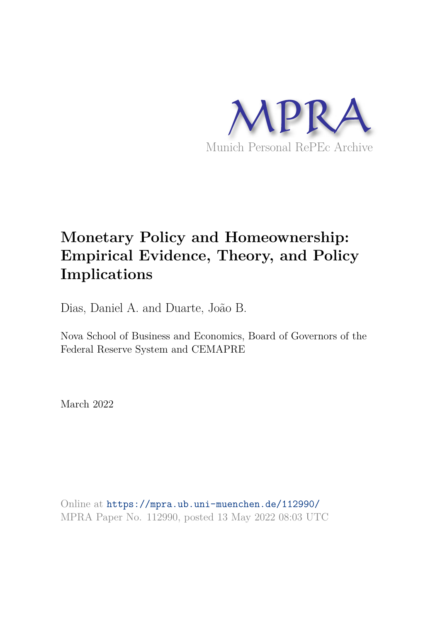

# **Monetary Policy and Homeownership: Empirical Evidence, Theory, and Policy Implications**

Dias, Daniel A. and Duarte, João B.

Nova School of Business and Economics, Board of Governors of the Federal Reserve System and CEMAPRE

March 2022

Online at https://mpra.ub.uni-muenchen.de/112990/ MPRA Paper No. 112990, posted 13 May 2022 08:03 UTC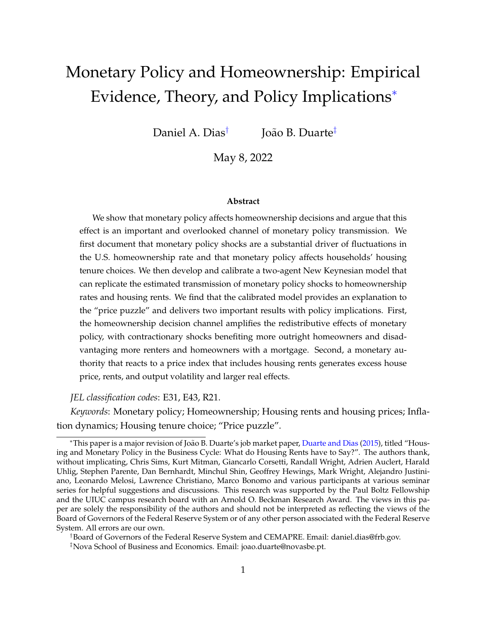# Monetary Policy and Homeownership: Empirical Evidence, Theory, and Policy Implications<sup>∗</sup>

Daniel A. Dias† João B. Duarte‡

May 8, 2022

#### **Abstract**

We show that monetary policy affects homeownership decisions and argue that this effect is an important and overlooked channel of monetary policy transmission. We first document that monetary policy shocks are a substantial driver of fluctuations in the U.S. homeownership rate and that monetary policy affects households' housing tenure choices. We then develop and calibrate a two-agent New Keynesian model that can replicate the estimated transmission of monetary policy shocks to homeownership rates and housing rents. We find that the calibrated model provides an explanation to the "price puzzle" and delivers two important results with policy implications. First, the homeownership decision channel amplifies the redistributive effects of monetary policy, with contractionary shocks benefiting more outright homeowners and disadvantaging more renters and homeowners with a mortgage. Second, a monetary authority that reacts to a price index that includes housing rents generates excess house price, rents, and output volatility and larger real effects.

*JEL classification codes*: E31, E43, R21.

*Keywords*: Monetary policy; Homeownership; Housing rents and housing prices; Inflation dynamics; Housing tenure choice; "Price puzzle".

†Board of Governors of the Federal Reserve System and CEMAPRE. Email: daniel.dias@frb.gov.

<sup>∗</sup>This paper is a major revision of Jo˜ao B. Duarte's job market paper, Duarte and Dias (2015), titled "Housing and Monetary Policy in the Business Cycle: What do Housing Rents have to Say?". The authors thank, without implicating, Chris Sims, Kurt Mitman, Giancarlo Corsetti, Randall Wright, Adrien Auclert, Harald Uhlig, Stephen Parente, Dan Bernhardt, Minchul Shin, Geoffrey Hewings, Mark Wright, Alejandro Justiniano, Leonardo Melosi, Lawrence Christiano, Marco Bonomo and various participants at various seminar series for helpful suggestions and discussions. This research was supported by the Paul Boltz Fellowship and the UIUC campus research board with an Arnold O. Beckman Research Award. The views in this paper are solely the responsibility of the authors and should not be interpreted as reflecting the views of the Board of Governors of the Federal Reserve System or of any other person associated with the Federal Reserve System. All errors are our own.

<sup>‡</sup>Nova School of Business and Economics. Email: joao.duarte@novasbe.pt.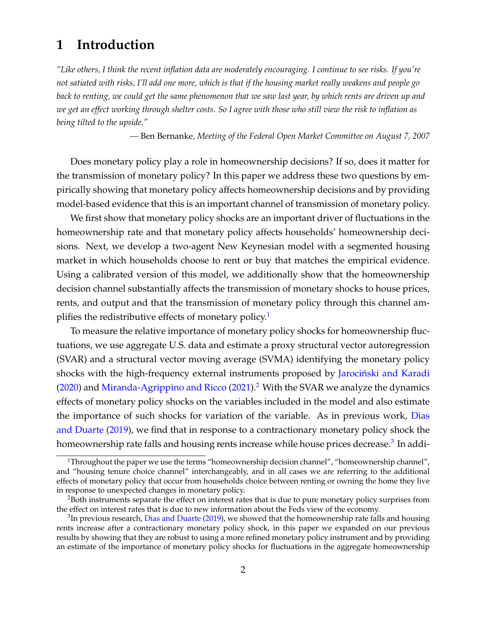# **1 Introduction**

*"Like others, I think the recent inflation data are moderately encouraging. I continue to see risks. If you're not satiated with risks, I'll add one more, which is that if the housing market really weakens and people go back to renting, we could get the same phenomenon that we saw last year, by which rents are driven up and we get an effect working through shelter costs. So I agree with those who still view the risk to inflation as being tilted to the upside."*

*—* Ben Bernanke*, Meeting of the Federal Open Market Committee on August 7, 2007*

Does monetary policy play a role in homeownership decisions? If so, does it matter for the transmission of monetary policy? In this paper we address these two questions by empirically showing that monetary policy affects homeownership decisions and by providing model-based evidence that this is an important channel of transmission of monetary policy.

We first show that monetary policy shocks are an important driver of fluctuations in the homeownership rate and that monetary policy affects households' homeownership decisions. Next, we develop a two-agent New Keynesian model with a segmented housing market in which households choose to rent or buy that matches the empirical evidence. Using a calibrated version of this model, we additionally show that the homeownership decision channel substantially affects the transmission of monetary shocks to house prices, rents, and output and that the transmission of monetary policy through this channel amplifies the redistributive effects of monetary policy.<sup>1</sup>

To measure the relative importance of monetary policy shocks for homeownership fluctuations, we use aggregate U.S. data and estimate a proxy structural vector autoregression (SVAR) and a structural vector moving average (SVMA) identifying the monetary policy shocks with the high-frequency external instruments proposed by Jarociński and Karadi  $(2020)$  and Miranda-Agrippino and Ricco  $(2021)$ .<sup>2</sup> With the SVAR we analyze the dynamics effects of monetary policy shocks on the variables included in the model and also estimate the importance of such shocks for variation of the variable. As in previous work, Dias and Duarte (2019), we find that in response to a contractionary monetary policy shock the homeownership rate falls and housing rents increase while house prices decrease.<sup>3</sup> In addi-

<sup>&</sup>lt;sup>1</sup>Throughout the paper we use the terms "homeownership decision channel", "homeownership channel", and "housing tenure choice channel" interchangeably, and in all cases we are referring to the additional effects of monetary policy that occur from households choice between renting or owning the home they live in response to unexpected changes in monetary policy.

<sup>&</sup>lt;sup>2</sup>Both instruments separate the effect on interest rates that is due to pure monetary policy surprises from the effect on interest rates that is due to new information about the Feds view of the economy.

 $^3$ In previous research, Dias and Duarte (2019), we showed that the homeownership rate falls and housing rents increase after a contractionary monetary policy shock, in this paper we expanded on our previous results by showing that they are robust to using a more refined monetary policy instrument and by providing an estimate of the importance of monetary policy shocks for fluctuations in the aggregate homeownership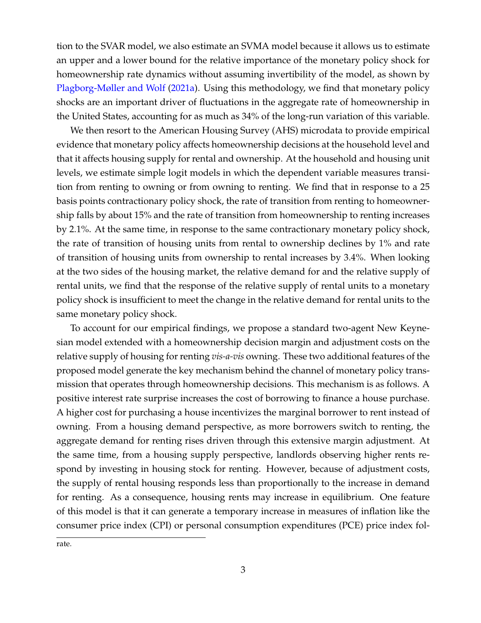tion to the SVAR model, we also estimate an SVMA model because it allows us to estimate an upper and a lower bound for the relative importance of the monetary policy shock for homeownership rate dynamics without assuming invertibility of the model, as shown by Plagborg-Møller and Wolf (2021a). Using this methodology, we find that monetary policy shocks are an important driver of fluctuations in the aggregate rate of homeownership in the United States, accounting for as much as 34% of the long-run variation of this variable.

We then resort to the American Housing Survey (AHS) microdata to provide empirical evidence that monetary policy affects homeownership decisions at the household level and that it affects housing supply for rental and ownership. At the household and housing unit levels, we estimate simple logit models in which the dependent variable measures transition from renting to owning or from owning to renting. We find that in response to a 25 basis points contractionary policy shock, the rate of transition from renting to homeownership falls by about 15% and the rate of transition from homeownership to renting increases by 2.1%. At the same time, in response to the same contractionary monetary policy shock, the rate of transition of housing units from rental to ownership declines by 1% and rate of transition of housing units from ownership to rental increases by 3.4%. When looking at the two sides of the housing market, the relative demand for and the relative supply of rental units, we find that the response of the relative supply of rental units to a monetary policy shock is insufficient to meet the change in the relative demand for rental units to the same monetary policy shock.

To account for our empirical findings, we propose a standard two-agent New Keynesian model extended with a homeownership decision margin and adjustment costs on the relative supply of housing for renting *vis-a-vis* owning. These two additional features of the proposed model generate the key mechanism behind the channel of monetary policy transmission that operates through homeownership decisions. This mechanism is as follows. A positive interest rate surprise increases the cost of borrowing to finance a house purchase. A higher cost for purchasing a house incentivizes the marginal borrower to rent instead of owning. From a housing demand perspective, as more borrowers switch to renting, the aggregate demand for renting rises driven through this extensive margin adjustment. At the same time, from a housing supply perspective, landlords observing higher rents respond by investing in housing stock for renting. However, because of adjustment costs, the supply of rental housing responds less than proportionally to the increase in demand for renting. As a consequence, housing rents may increase in equilibrium. One feature of this model is that it can generate a temporary increase in measures of inflation like the consumer price index (CPI) or personal consumption expenditures (PCE) price index fol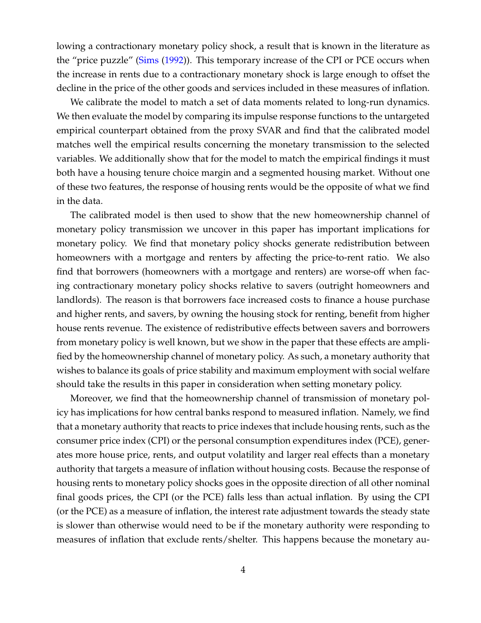lowing a contractionary monetary policy shock, a result that is known in the literature as the "price puzzle" (Sims (1992)). This temporary increase of the CPI or PCE occurs when the increase in rents due to a contractionary monetary shock is large enough to offset the decline in the price of the other goods and services included in these measures of inflation.

We calibrate the model to match a set of data moments related to long-run dynamics. We then evaluate the model by comparing its impulse response functions to the untargeted empirical counterpart obtained from the proxy SVAR and find that the calibrated model matches well the empirical results concerning the monetary transmission to the selected variables. We additionally show that for the model to match the empirical findings it must both have a housing tenure choice margin and a segmented housing market. Without one of these two features, the response of housing rents would be the opposite of what we find in the data.

The calibrated model is then used to show that the new homeownership channel of monetary policy transmission we uncover in this paper has important implications for monetary policy. We find that monetary policy shocks generate redistribution between homeowners with a mortgage and renters by affecting the price-to-rent ratio. We also find that borrowers (homeowners with a mortgage and renters) are worse-off when facing contractionary monetary policy shocks relative to savers (outright homeowners and landlords). The reason is that borrowers face increased costs to finance a house purchase and higher rents, and savers, by owning the housing stock for renting, benefit from higher house rents revenue. The existence of redistributive effects between savers and borrowers from monetary policy is well known, but we show in the paper that these effects are amplified by the homeownership channel of monetary policy. As such, a monetary authority that wishes to balance its goals of price stability and maximum employment with social welfare should take the results in this paper in consideration when setting monetary policy.

Moreover, we find that the homeownership channel of transmission of monetary policy has implications for how central banks respond to measured inflation. Namely, we find that a monetary authority that reacts to price indexes that include housing rents, such as the consumer price index (CPI) or the personal consumption expenditures index (PCE), generates more house price, rents, and output volatility and larger real effects than a monetary authority that targets a measure of inflation without housing costs. Because the response of housing rents to monetary policy shocks goes in the opposite direction of all other nominal final goods prices, the CPI (or the PCE) falls less than actual inflation. By using the CPI (or the PCE) as a measure of inflation, the interest rate adjustment towards the steady state is slower than otherwise would need to be if the monetary authority were responding to measures of inflation that exclude rents/shelter. This happens because the monetary au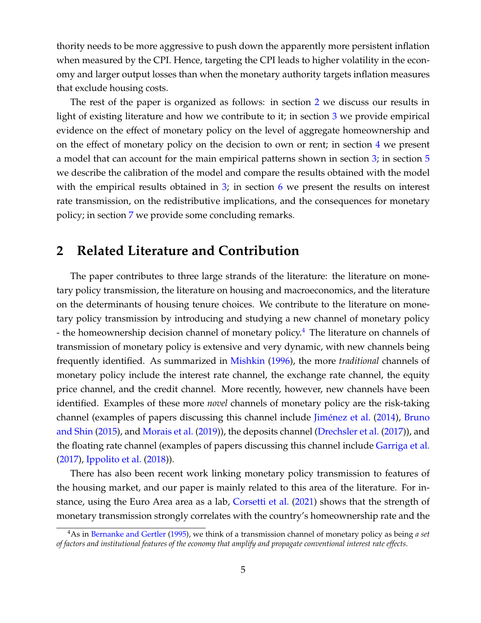thority needs to be more aggressive to push down the apparently more persistent inflation when measured by the CPI. Hence, targeting the CPI leads to higher volatility in the economy and larger output losses than when the monetary authority targets inflation measures that exclude housing costs.

The rest of the paper is organized as follows: in section 2 we discuss our results in light of existing literature and how we contribute to it; in section 3 we provide empirical evidence on the effect of monetary policy on the level of aggregate homeownership and on the effect of monetary policy on the decision to own or rent; in section 4 we present a model that can account for the main empirical patterns shown in section 3; in section 5 we describe the calibration of the model and compare the results obtained with the model with the empirical results obtained in  $3$ ; in section 6 we present the results on interest rate transmission, on the redistributive implications, and the consequences for monetary policy; in section 7 we provide some concluding remarks.

## **2 Related Literature and Contribution**

The paper contributes to three large strands of the literature: the literature on monetary policy transmission, the literature on housing and macroeconomics, and the literature on the determinants of housing tenure choices. We contribute to the literature on monetary policy transmission by introducing and studying a new channel of monetary policy - the homeownership decision channel of monetary policy.<sup>4</sup> The literature on channels of transmission of monetary policy is extensive and very dynamic, with new channels being frequently identified. As summarized in Mishkin (1996), the more *traditional* channels of monetary policy include the interest rate channel, the exchange rate channel, the equity price channel, and the credit channel. More recently, however, new channels have been identified. Examples of these more *novel* channels of monetary policy are the risk-taking channel (examples of papers discussing this channel include Jiménez et al. (2014), Bruno and Shin (2015), and Morais et al. (2019)), the deposits channel (Drechsler et al. (2017)), and the floating rate channel (examples of papers discussing this channel include Garriga et al. (2017), Ippolito et al. (2018)).

There has also been recent work linking monetary policy transmission to features of the housing market, and our paper is mainly related to this area of the literature. For instance, using the Euro Area area as a lab, Corsetti et al. (2021) shows that the strength of monetary transmission strongly correlates with the country's homeownership rate and the

<sup>4</sup>As in Bernanke and Gertler (1995), we think of a transmission channel of monetary policy as being *a set of factors and institutional features of the economy that amplify and propagate conventional interest rate effects*.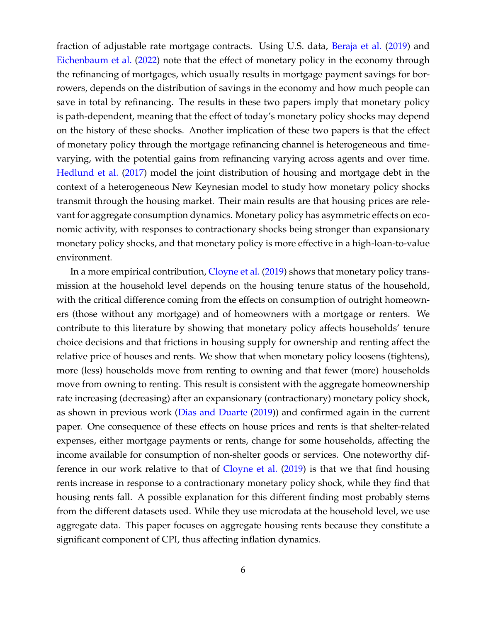fraction of adjustable rate mortgage contracts. Using U.S. data, Beraja et al. (2019) and Eichenbaum et al. (2022) note that the effect of monetary policy in the economy through the refinancing of mortgages, which usually results in mortgage payment savings for borrowers, depends on the distribution of savings in the economy and how much people can save in total by refinancing. The results in these two papers imply that monetary policy is path-dependent, meaning that the effect of today's monetary policy shocks may depend on the history of these shocks. Another implication of these two papers is that the effect of monetary policy through the mortgage refinancing channel is heterogeneous and timevarying, with the potential gains from refinancing varying across agents and over time. Hedlund et al. (2017) model the joint distribution of housing and mortgage debt in the context of a heterogeneous New Keynesian model to study how monetary policy shocks transmit through the housing market. Their main results are that housing prices are relevant for aggregate consumption dynamics. Monetary policy has asymmetric effects on economic activity, with responses to contractionary shocks being stronger than expansionary monetary policy shocks, and that monetary policy is more effective in a high-loan-to-value environment.

In a more empirical contribution, Cloyne et al. (2019) shows that monetary policy transmission at the household level depends on the housing tenure status of the household, with the critical difference coming from the effects on consumption of outright homeowners (those without any mortgage) and of homeowners with a mortgage or renters. We contribute to this literature by showing that monetary policy affects households' tenure choice decisions and that frictions in housing supply for ownership and renting affect the relative price of houses and rents. We show that when monetary policy loosens (tightens), more (less) households move from renting to owning and that fewer (more) households move from owning to renting. This result is consistent with the aggregate homeownership rate increasing (decreasing) after an expansionary (contractionary) monetary policy shock, as shown in previous work (Dias and Duarte (2019)) and confirmed again in the current paper. One consequence of these effects on house prices and rents is that shelter-related expenses, either mortgage payments or rents, change for some households, affecting the income available for consumption of non-shelter goods or services. One noteworthy difference in our work relative to that of Cloyne et al. (2019) is that we that find housing rents increase in response to a contractionary monetary policy shock, while they find that housing rents fall. A possible explanation for this different finding most probably stems from the different datasets used. While they use microdata at the household level, we use aggregate data. This paper focuses on aggregate housing rents because they constitute a significant component of CPI, thus affecting inflation dynamics.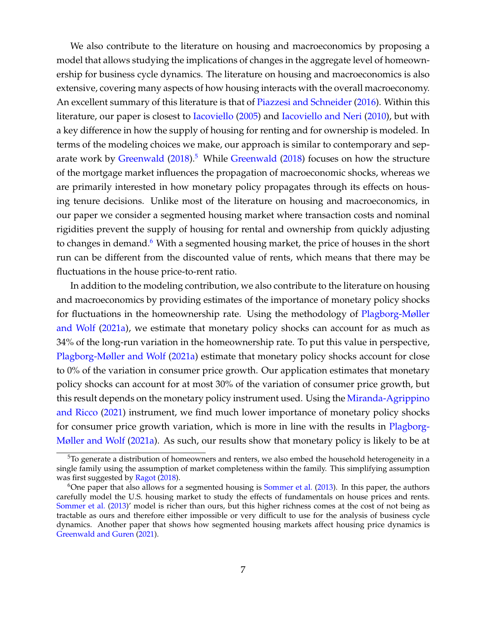We also contribute to the literature on housing and macroeconomics by proposing a model that allows studying the implications of changes in the aggregate level of homeownership for business cycle dynamics. The literature on housing and macroeconomics is also extensive, covering many aspects of how housing interacts with the overall macroeconomy. An excellent summary of this literature is that of Piazzesi and Schneider (2016). Within this literature, our paper is closest to Iacoviello (2005) and Iacoviello and Neri (2010), but with a key difference in how the supply of housing for renting and for ownership is modeled. In terms of the modeling choices we make, our approach is similar to contemporary and separate work by Greenwald  $(2018)^5$  While Greenwald  $(2018)$  focuses on how the structure of the mortgage market influences the propagation of macroeconomic shocks, whereas we are primarily interested in how monetary policy propagates through its effects on housing tenure decisions. Unlike most of the literature on housing and macroeconomics, in our paper we consider a segmented housing market where transaction costs and nominal rigidities prevent the supply of housing for rental and ownership from quickly adjusting to changes in demand.<sup>6</sup> With a segmented housing market, the price of houses in the short run can be different from the discounted value of rents, which means that there may be fluctuations in the house price-to-rent ratio.

In addition to the modeling contribution, we also contribute to the literature on housing and macroeconomics by providing estimates of the importance of monetary policy shocks for fluctuations in the homeownership rate. Using the methodology of Plagborg-Møller and Wolf (2021a), we estimate that monetary policy shocks can account for as much as 34% of the long-run variation in the homeownership rate. To put this value in perspective, Plagborg-Møller and Wolf (2021a) estimate that monetary policy shocks account for close to 0% of the variation in consumer price growth. Our application estimates that monetary policy shocks can account for at most 30% of the variation of consumer price growth, but this result depends on the monetary policy instrument used. Using the Miranda-Agrippino and Ricco (2021) instrument, we find much lower importance of monetary policy shocks for consumer price growth variation, which is more in line with the results in Plagborg-Møller and Wolf (2021a). As such, our results show that monetary policy is likely to be at

 $5T\sigma$  generate a distribution of homeowners and renters, we also embed the household heterogeneity in a single family using the assumption of market completeness within the family. This simplifying assumption was first suggested by Ragot (2018).

 $6$ One paper that also allows for a segmented housing is Sommer et al. (2013). In this paper, the authors carefully model the U.S. housing market to study the effects of fundamentals on house prices and rents. Sommer et al. (2013)' model is richer than ours, but this higher richness comes at the cost of not being as tractable as ours and therefore either impossible or very difficult to use for the analysis of business cycle dynamics. Another paper that shows how segmented housing markets affect housing price dynamics is Greenwald and Guren (2021).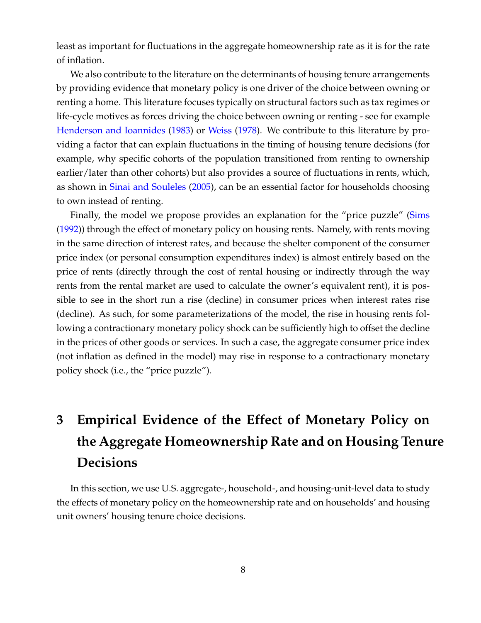least as important for fluctuations in the aggregate homeownership rate as it is for the rate of inflation.

We also contribute to the literature on the determinants of housing tenure arrangements by providing evidence that monetary policy is one driver of the choice between owning or renting a home. This literature focuses typically on structural factors such as tax regimes or life-cycle motives as forces driving the choice between owning or renting - see for example Henderson and Ioannides (1983) or Weiss (1978). We contribute to this literature by providing a factor that can explain fluctuations in the timing of housing tenure decisions (for example, why specific cohorts of the population transitioned from renting to ownership earlier/later than other cohorts) but also provides a source of fluctuations in rents, which, as shown in Sinai and Souleles (2005), can be an essential factor for households choosing to own instead of renting.

Finally, the model we propose provides an explanation for the "price puzzle" (Sims (1992)) through the effect of monetary policy on housing rents. Namely, with rents moving in the same direction of interest rates, and because the shelter component of the consumer price index (or personal consumption expenditures index) is almost entirely based on the price of rents (directly through the cost of rental housing or indirectly through the way rents from the rental market are used to calculate the owner's equivalent rent), it is possible to see in the short run a rise (decline) in consumer prices when interest rates rise (decline). As such, for some parameterizations of the model, the rise in housing rents following a contractionary monetary policy shock can be sufficiently high to offset the decline in the prices of other goods or services. In such a case, the aggregate consumer price index (not inflation as defined in the model) may rise in response to a contractionary monetary policy shock (i.e., the "price puzzle").

# **3 Empirical Evidence of the Effect of Monetary Policy on the Aggregate Homeownership Rate and on Housing Tenure Decisions**

In this section, we use U.S. aggregate-, household-, and housing-unit-level data to study the effects of monetary policy on the homeownership rate and on households' and housing unit owners' housing tenure choice decisions.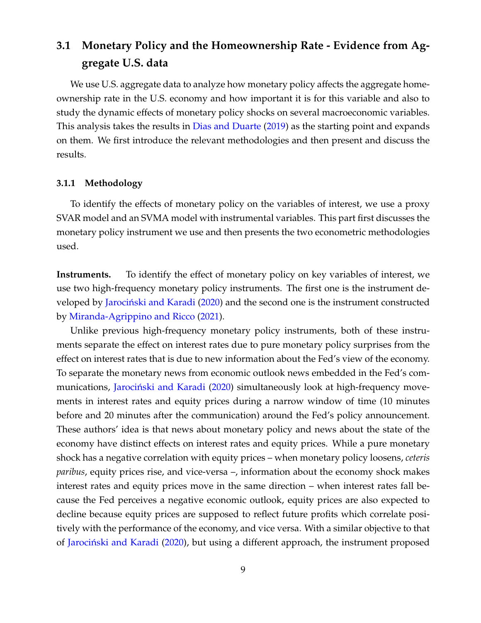# **3.1 Monetary Policy and the Homeownership Rate - Evidence from Aggregate U.S. data**

We use U.S. aggregate data to analyze how monetary policy affects the aggregate homeownership rate in the U.S. economy and how important it is for this variable and also to study the dynamic effects of monetary policy shocks on several macroeconomic variables. This analysis takes the results in Dias and Duarte (2019) as the starting point and expands on them. We first introduce the relevant methodologies and then present and discuss the results.

#### **3.1.1 Methodology**

To identify the effects of monetary policy on the variables of interest, we use a proxy SVAR model and an SVMA model with instrumental variables. This part first discusses the monetary policy instrument we use and then presents the two econometric methodologies used.

**Instruments.** To identify the effect of monetary policy on key variables of interest, we use two high-frequency monetary policy instruments. The first one is the instrument developed by Jarociński and Karadi (2020) and the second one is the instrument constructed by Miranda-Agrippino and Ricco (2021).

Unlike previous high-frequency monetary policy instruments, both of these instruments separate the effect on interest rates due to pure monetary policy surprises from the effect on interest rates that is due to new information about the Fed's view of the economy. To separate the monetary news from economic outlook news embedded in the Fed's communications, Jarociński and Karadi (2020) simultaneously look at high-frequency movements in interest rates and equity prices during a narrow window of time (10 minutes before and 20 minutes after the communication) around the Fed's policy announcement. These authors' idea is that news about monetary policy and news about the state of the economy have distinct effects on interest rates and equity prices. While a pure monetary shock has a negative correlation with equity prices – when monetary policy loosens, *ceteris paribus*, equity prices rise, and vice-versa –, information about the economy shock makes interest rates and equity prices move in the same direction – when interest rates fall because the Fed perceives a negative economic outlook, equity prices are also expected to decline because equity prices are supposed to reflect future profits which correlate positively with the performance of the economy, and vice versa. With a similar objective to that of Jarociński and Karadi (2020), but using a different approach, the instrument proposed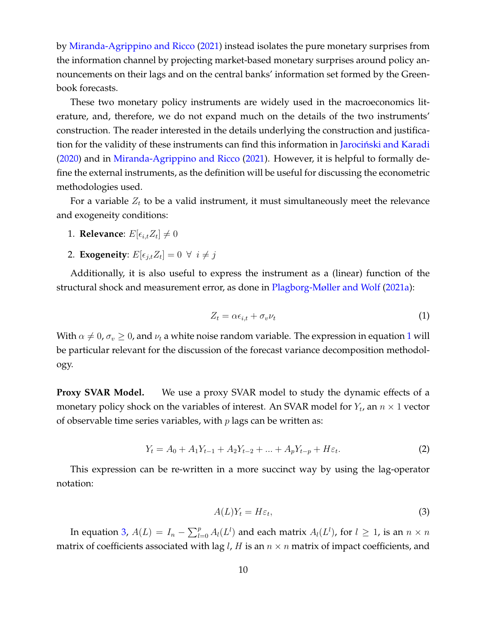by Miranda-Agrippino and Ricco (2021) instead isolates the pure monetary surprises from the information channel by projecting market-based monetary surprises around policy announcements on their lags and on the central banks' information set formed by the Greenbook forecasts.

These two monetary policy instruments are widely used in the macroeconomics literature, and, therefore, we do not expand much on the details of the two instruments' construction. The reader interested in the details underlying the construction and justification for the validity of these instruments can find this information in Jarocinski and Karadi (2020) and in Miranda-Agrippino and Ricco (2021). However, it is helpful to formally define the external instruments, as the definition will be useful for discussing the econometric methodologies used.

For a variable  $Z_t$  to be a valid instrument, it must simultaneously meet the relevance and exogeneity conditions:

- 1. **Relevance**:  $E[\epsilon_{i,t} Z_t] \neq 0$
- 2. **Exogeneity**:  $E[\epsilon_{j,t} Z_t] = 0 \ \forall \ i \neq j$

Additionally, it is also useful to express the instrument as a (linear) function of the structural shock and measurement error, as done in Plagborg-Møller and Wolf (2021a):

$$
Z_t = \alpha \epsilon_{i,t} + \sigma_v \nu_t \tag{1}
$$

With  $\alpha \neq 0$ ,  $\sigma_v \geq 0$ , and  $\nu_t$  a white noise random variable. The expression in equation 1 will be particular relevant for the discussion of the forecast variance decomposition methodology.

**Proxy SVAR Model.** We use a proxy SVAR model to study the dynamic effects of a monetary policy shock on the variables of interest. An SVAR model for  $Y_t$ , an  $n \times 1$  vector of observable time series variables, with  $p$  lags can be written as:

$$
Y_t = A_0 + A_1 Y_{t-1} + A_2 Y_{t-2} + \dots + A_p Y_{t-p} + H\varepsilon_t.
$$
 (2)

This expression can be re-written in a more succinct way by using the lag-operator notation:

$$
A(L)Y_t = H\varepsilon_t,\tag{3}
$$

In equation 3,  $A(L) = I_n - \sum_{l=0}^p A_l(L^l)$  and each matrix  $A_l(L^l)$ , for  $l \geq 1$ , is an  $n \times n$ matrix of coefficients associated with lag *l*, *H* is an  $n \times n$  matrix of impact coefficients, and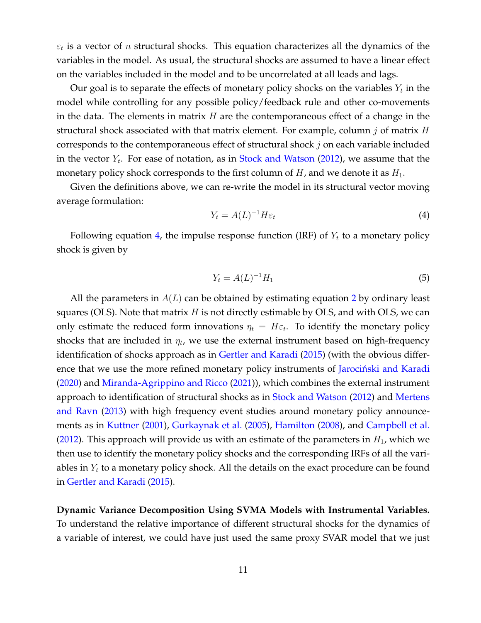$\varepsilon_t$  is a vector of  $n$  structural shocks. This equation characterizes all the dynamics of the variables in the model. As usual, the structural shocks are assumed to have a linear effect on the variables included in the model and to be uncorrelated at all leads and lags.

Our goal is to separate the effects of monetary policy shocks on the variables  $Y_t$  in the model while controlling for any possible policy/feedback rule and other co-movements in the data. The elements in matrix  $H$  are the contemporaneous effect of a change in the structural shock associated with that matrix element. For example, column j of matrix  $H$ corresponds to the contemporaneous effect of structural shock  $j$  on each variable included in the vector  $Y_t$ . For ease of notation, as in Stock and Watson (2012), we assume that the monetary policy shock corresponds to the first column of  $H$ , and we denote it as  $H_1$ .

Given the definitions above, we can re-write the model in its structural vector moving average formulation:

$$
Y_t = A(L)^{-1} H \varepsilon_t \tag{4}
$$

Following equation 4, the impulse response function (IRF) of  $Y_t$  to a monetary policy shock is given by

$$
Y_t = A(L)^{-1}H_1
$$
 (5)

All the parameters in  $A(L)$  can be obtained by estimating equation 2 by ordinary least squares (OLS). Note that matrix  $H$  is not directly estimable by OLS, and with OLS, we can only estimate the reduced form innovations  $\eta_t = H \varepsilon_t$ . To identify the monetary policy shocks that are included in  $\eta_t$ , we use the external instrument based on high-frequency identification of shocks approach as in Gertler and Karadi (2015) (with the obvious difference that we use the more refined monetary policy instruments of Jarociński and Karadi (2020) and Miranda-Agrippino and Ricco (2021)), which combines the external instrument approach to identification of structural shocks as in Stock and Watson (2012) and Mertens and Ravn (2013) with high frequency event studies around monetary policy announcements as in Kuttner (2001), Gurkaynak et al. (2005), Hamilton (2008), and Campbell et al. (2012). This approach will provide us with an estimate of the parameters in  $H_1$ , which we then use to identify the monetary policy shocks and the corresponding IRFs of all the variables in  $Y_t$  to a monetary policy shock. All the details on the exact procedure can be found in Gertler and Karadi (2015).

**Dynamic Variance Decomposition Using SVMA Models with Instrumental Variables.** To understand the relative importance of different structural shocks for the dynamics of a variable of interest, we could have just used the same proxy SVAR model that we just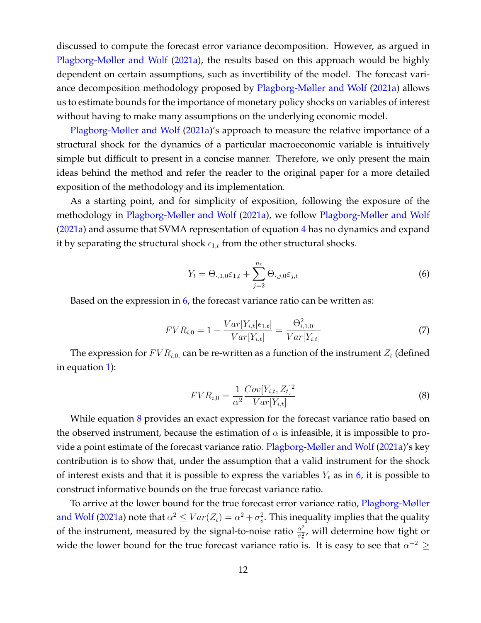discussed to compute the forecast error variance decomposition. However, as argued in Plagborg-Møller and Wolf (2021a), the results based on this approach would be highly dependent on certain assumptions, such as invertibility of the model. The forecast variance decomposition methodology proposed by Plagborg-Møller and Wolf (2021a) allows us to estimate bounds for the importance of monetary policy shocks on variables of interest without having to make many assumptions on the underlying economic model.

Plagborg-Møller and Wolf (2021a)'s approach to measure the relative importance of a structural shock for the dynamics of a particular macroeconomic variable is intuitively simple but difficult to present in a concise manner. Therefore, we only present the main ideas behind the method and refer the reader to the original paper for a more detailed exposition of the methodology and its implementation.

As a starting point, and for simplicity of exposition, following the exposure of the methodology in Plagborg-Møller and Wolf (2021a), we follow Plagborg-Møller and Wolf (2021a) and assume that SVMA representation of equation 4 has no dynamics and expand it by separating the structural shock  $\epsilon_{1,t}$  from the other structural shocks.

$$
Y_t = \Theta_{\cdot,1,0} \varepsilon_{1,t} + \sum_{j=2}^{n_{\epsilon}} \Theta_{\cdot,j,0} \varepsilon_{j,t}
$$
 (6)

Based on the expression in  $6$ , the forecast variance ratio can be written as:

$$
FVR_{i,0} = 1 - \frac{Var[Y_{i,t}|\epsilon_{1,t}]}{Var[Y_{i,t}]} = \frac{\Theta_{i,1,0}^2}{Var[Y_{i,t}]} \tag{7}
$$

The expression for  $FVR_{i,0, \text{ can}}$  be re-written as a function of the instrument  $Z_t$  (defined in equation 1):

$$
FVR_{i,0} = \frac{1}{\alpha^2} \frac{Cov[Y_{i,t}, Z_t]^2}{Var[Y_{i,t}]}
$$
\n(8)

While equation 8 provides an exact expression for the forecast variance ratio based on the observed instrument, because the estimation of  $\alpha$  is infeasible, it is impossible to provide a point estimate of the forecast variance ratio. Plagborg-Møller and Wolf (2021a)'s key contribution is to show that, under the assumption that a valid instrument for the shock of interest exists and that it is possible to express the variables  $Y_t$  as in 6, it is possible to construct informative bounds on the true forecast variance ratio.

To arrive at the lower bound for the true forecast error variance ratio, Plagborg-Møller and Wolf (2021a) note that  $\alpha^2 \leq Var(Z_t) = \alpha^2 + \sigma_v^2$ . This inequality implies that the quality of the instrument, measured by the signal-to-noise ratio  $\frac{\alpha^2}{\sigma^2}$  $\frac{\alpha^2}{\sigma_v^2}$ , will determine how tight or wide the lower bound for the true forecast variance ratio is. It is easy to see that  $\alpha^{-2} \geq$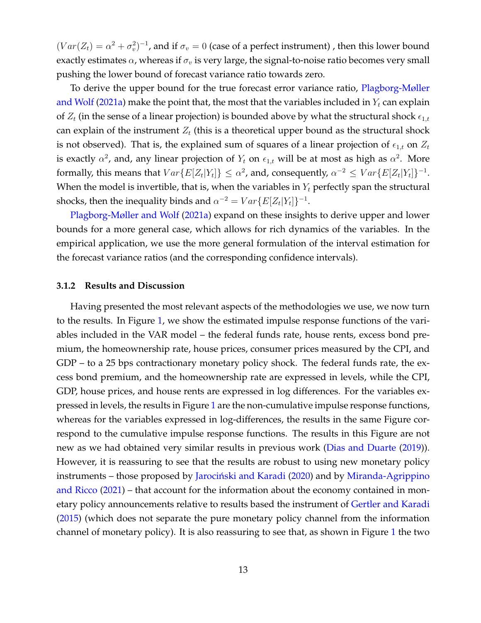$(Var(Z_t) = \alpha^2 + \sigma_v^2)^{-1}$ , and if  $\sigma_v = 0$  (case of a perfect instrument), then this lower bound exactly estimates  $\alpha$ , whereas if  $\sigma_v$  is very large, the signal-to-noise ratio becomes very small pushing the lower bound of forecast variance ratio towards zero.

To derive the upper bound for the true forecast error variance ratio, Plagborg-Møller and Wolf (2021a) make the point that, the most that the variables included in  $Y_t$  can explain of  $Z_t$  (in the sense of a linear projection) is bounded above by what the structural shock  $\epsilon_{1,t}$ can explain of the instrument  $Z_t$  (this is a theoretical upper bound as the structural shock is not observed). That is, the explained sum of squares of a linear projection of  $\epsilon_{1,t}$  on  $Z_t$ is exactly  $\alpha^2$ , and, any linear projection of  $Y_t$  on  $\epsilon_{1,t}$  will be at most as high as  $\alpha^2$ . More formally, this means that  $Var\{E[Z_t|Y_t]\} \leq \alpha^2$ , and, consequently,  $\alpha^{-2} \leq Var\{E[Z_t|Y_t]\}^{-1}$ . When the model is invertible, that is, when the variables in  $Y_t$  perfectly span the structural shocks, then the inequality binds and  $\alpha^{-2} = Var\{E[Z_t|Y_t]\}^{-1}$ .

Plagborg-Møller and Wolf (2021a) expand on these insights to derive upper and lower bounds for a more general case, which allows for rich dynamics of the variables. In the empirical application, we use the more general formulation of the interval estimation for the forecast variance ratios (and the corresponding confidence intervals).

#### **3.1.2 Results and Discussion**

Having presented the most relevant aspects of the methodologies we use, we now turn to the results. In Figure 1, we show the estimated impulse response functions of the variables included in the VAR model – the federal funds rate, house rents, excess bond premium, the homeownership rate, house prices, consumer prices measured by the CPI, and GDP – to a 25 bps contractionary monetary policy shock. The federal funds rate, the excess bond premium, and the homeownership rate are expressed in levels, while the CPI, GDP, house prices, and house rents are expressed in log differences. For the variables expressed in levels, the results in Figure 1 are the non-cumulative impulse response functions, whereas for the variables expressed in log-differences, the results in the same Figure correspond to the cumulative impulse response functions. The results in this Figure are not new as we had obtained very similar results in previous work (Dias and Duarte (2019)). However, it is reassuring to see that the results are robust to using new monetary policy instruments – those proposed by Jarociński and Karadi (2020) and by Miranda-Agrippino and Ricco (2021) – that account for the information about the economy contained in monetary policy announcements relative to results based the instrument of Gertler and Karadi (2015) (which does not separate the pure monetary policy channel from the information channel of monetary policy). It is also reassuring to see that, as shown in Figure 1 the two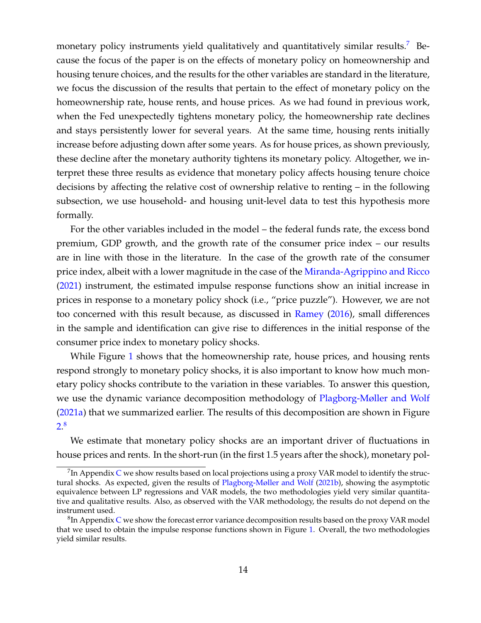monetary policy instruments yield qualitatively and quantitatively similar results.<sup>7</sup> Because the focus of the paper is on the effects of monetary policy on homeownership and housing tenure choices, and the results for the other variables are standard in the literature, we focus the discussion of the results that pertain to the effect of monetary policy on the homeownership rate, house rents, and house prices. As we had found in previous work, when the Fed unexpectedly tightens monetary policy, the homeownership rate declines and stays persistently lower for several years. At the same time, housing rents initially increase before adjusting down after some years. As for house prices, as shown previously, these decline after the monetary authority tightens its monetary policy. Altogether, we interpret these three results as evidence that monetary policy affects housing tenure choice decisions by affecting the relative cost of ownership relative to renting – in the following subsection, we use household- and housing unit-level data to test this hypothesis more formally.

For the other variables included in the model – the federal funds rate, the excess bond premium, GDP growth, and the growth rate of the consumer price index – our results are in line with those in the literature. In the case of the growth rate of the consumer price index, albeit with a lower magnitude in the case of the Miranda-Agrippino and Ricco (2021) instrument, the estimated impulse response functions show an initial increase in prices in response to a monetary policy shock (i.e., "price puzzle"). However, we are not too concerned with this result because, as discussed in Ramey (2016), small differences in the sample and identification can give rise to differences in the initial response of the consumer price index to monetary policy shocks.

While Figure 1 shows that the homeownership rate, house prices, and housing rents respond strongly to monetary policy shocks, it is also important to know how much monetary policy shocks contribute to the variation in these variables. To answer this question, we use the dynamic variance decomposition methodology of Plagborg-Møller and Wolf (2021a) that we summarized earlier. The results of this decomposition are shown in Figure 2. 8

We estimate that monetary policy shocks are an important driver of fluctuations in house prices and rents. In the short-run (in the first 1.5 years after the shock), monetary pol-

 $^{7}$ In Appendix C we show results based on local projections using a proxy VAR model to identify the structural shocks. As expected, given the results of Plagborg-Møller and Wolf (2021b), showing the asymptotic equivalence between LP regressions and VAR models, the two methodologies yield very similar quantitative and qualitative results. Also, as observed with the VAR methodology, the results do not depend on the instrument used.

 ${}^{8}{\rm In}$  Appendix C we show the forecast error variance decomposition results based on the proxy VAR model that we used to obtain the impulse response functions shown in Figure 1. Overall, the two methodologies yield similar results.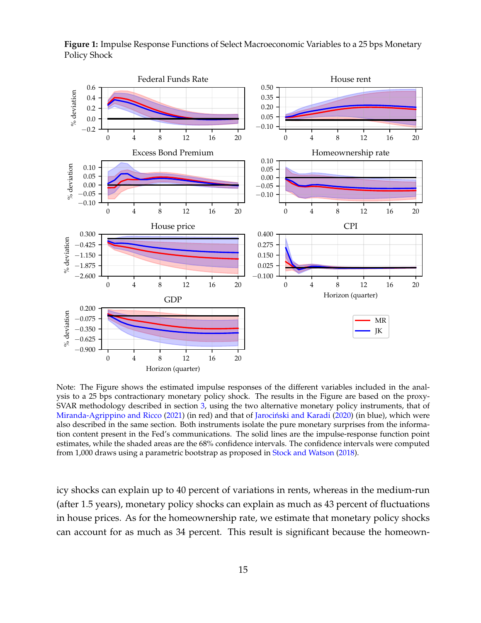**Figure 1:** Impulse Response Functions of Select Macroeconomic Variables to a 25 bps Monetary Policy Shock



Note: The Figure shows the estimated impulse responses of the different variables included in the analysis to a 25 bps contractionary monetary policy shock. The results in the Figure are based on the proxy-SVAR methodology described in section 3, using the two alternative monetary policy instruments, that of Miranda-Agrippino and Ricco (2021) (in red) and that of Jarociński and Karadi (2020) (in blue), which were also described in the same section. Both instruments isolate the pure monetary surprises from the information content present in the Fed's communications. The solid lines are the impulse-response function point estimates, while the shaded areas are the 68% confidence intervals. The confidence intervals were computed from 1,000 draws using a parametric bootstrap as proposed in Stock and Watson (2018).

icy shocks can explain up to 40 percent of variations in rents, whereas in the medium-run (after 1.5 years), monetary policy shocks can explain as much as 43 percent of fluctuations in house prices. As for the homeownership rate, we estimate that monetary policy shocks can account for as much as 34 percent. This result is significant because the homeown-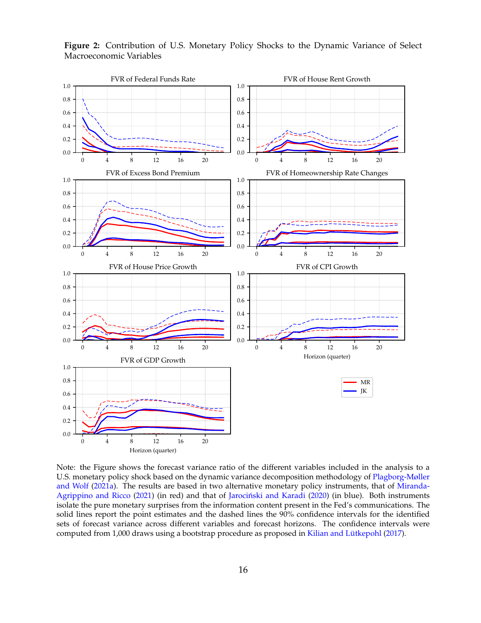

**Figure 2:** Contribution of U.S. Monetary Policy Shocks to the Dynamic Variance of Select Macroeconomic Variables

Note: the Figure shows the forecast variance ratio of the different variables included in the analysis to a U.S. monetary policy shock based on the dynamic variance decomposition methodology of Plagborg-Møller and Wolf (2021a). The results are based in two alternative monetary policy instruments, that of Miranda-Agrippino and Ricco (2021) (in red) and that of Jarociński and Karadi (2020) (in blue). Both instruments isolate the pure monetary surprises from the information content present in the Fed's communications. The solid lines report the point estimates and the dashed lines the 90% confidence intervals for the identified sets of forecast variance across different variables and forecast horizons. The confidence intervals were computed from 1,000 draws using a bootstrap procedure as proposed in Kilian and Lütkepohl (2017).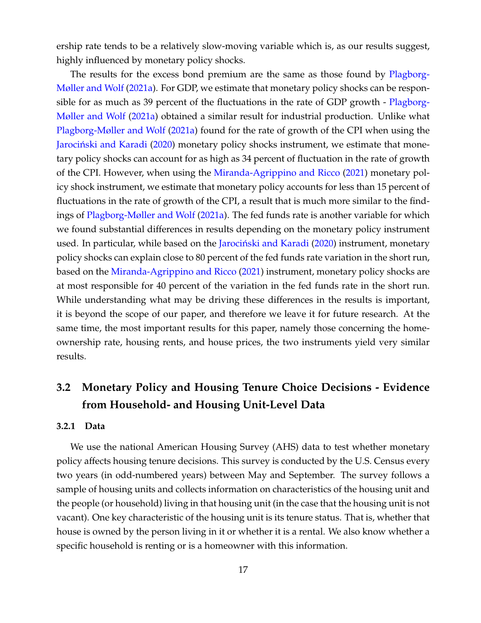ership rate tends to be a relatively slow-moving variable which is, as our results suggest, highly influenced by monetary policy shocks.

The results for the excess bond premium are the same as those found by Plagborg-Møller and Wolf (2021a). For GDP, we estimate that monetary policy shocks can be responsible for as much as 39 percent of the fluctuations in the rate of GDP growth - Plagborg-Møller and Wolf (2021a) obtained a similar result for industrial production. Unlike what Plagborg-Møller and Wolf (2021a) found for the rate of growth of the CPI when using the Jarociński and Karadi (2020) monetary policy shocks instrument, we estimate that monetary policy shocks can account for as high as 34 percent of fluctuation in the rate of growth of the CPI. However, when using the Miranda-Agrippino and Ricco (2021) monetary policy shock instrument, we estimate that monetary policy accounts for less than 15 percent of fluctuations in the rate of growth of the CPI, a result that is much more similar to the findings of Plagborg-Møller and Wolf (2021a). The fed funds rate is another variable for which we found substantial differences in results depending on the monetary policy instrument used. In particular, while based on the Jarociński and Karadi (2020) instrument, monetary policy shocks can explain close to 80 percent of the fed funds rate variation in the short run, based on the Miranda-Agrippino and Ricco (2021) instrument, monetary policy shocks are at most responsible for 40 percent of the variation in the fed funds rate in the short run. While understanding what may be driving these differences in the results is important, it is beyond the scope of our paper, and therefore we leave it for future research. At the same time, the most important results for this paper, namely those concerning the homeownership rate, housing rents, and house prices, the two instruments yield very similar results.

# **3.2 Monetary Policy and Housing Tenure Choice Decisions - Evidence from Household- and Housing Unit-Level Data**

#### **3.2.1 Data**

We use the national American Housing Survey (AHS) data to test whether monetary policy affects housing tenure decisions. This survey is conducted by the U.S. Census every two years (in odd-numbered years) between May and September. The survey follows a sample of housing units and collects information on characteristics of the housing unit and the people (or household) living in that housing unit (in the case that the housing unit is not vacant). One key characteristic of the housing unit is its tenure status. That is, whether that house is owned by the person living in it or whether it is a rental. We also know whether a specific household is renting or is a homeowner with this information.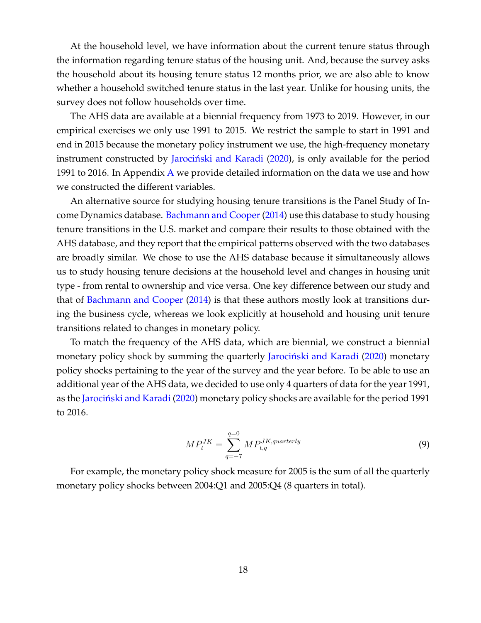At the household level, we have information about the current tenure status through the information regarding tenure status of the housing unit. And, because the survey asks the household about its housing tenure status 12 months prior, we are also able to know whether a household switched tenure status in the last year. Unlike for housing units, the survey does not follow households over time.

The AHS data are available at a biennial frequency from 1973 to 2019. However, in our empirical exercises we only use 1991 to 2015. We restrict the sample to start in 1991 and end in 2015 because the monetary policy instrument we use, the high-frequency monetary instrument constructed by Jarociński and Karadi (2020), is only available for the period 1991 to 2016. In Appendix  $\overline{A}$  we provide detailed information on the data we use and how we constructed the different variables.

An alternative source for studying housing tenure transitions is the Panel Study of Income Dynamics database. Bachmann and Cooper (2014) use this database to study housing tenure transitions in the U.S. market and compare their results to those obtained with the AHS database, and they report that the empirical patterns observed with the two databases are broadly similar. We chose to use the AHS database because it simultaneously allows us to study housing tenure decisions at the household level and changes in housing unit type - from rental to ownership and vice versa. One key difference between our study and that of Bachmann and Cooper (2014) is that these authors mostly look at transitions during the business cycle, whereas we look explicitly at household and housing unit tenure transitions related to changes in monetary policy.

To match the frequency of the AHS data, which are biennial, we construct a biennial monetary policy shock by summing the quarterly Jarociński and Karadi (2020) monetary policy shocks pertaining to the year of the survey and the year before. To be able to use an additional year of the AHS data, we decided to use only 4 quarters of data for the year 1991, as the Jarociński and Karadi (2020) monetary policy shocks are available for the period 1991 to 2016.

$$
MP_t^{JK} = \sum_{q=-7}^{q=0} MP_{t,q}^{JK,quarterly}
$$
\n(9)

For example, the monetary policy shock measure for 2005 is the sum of all the quarterly monetary policy shocks between 2004:Q1 and 2005:Q4 (8 quarters in total).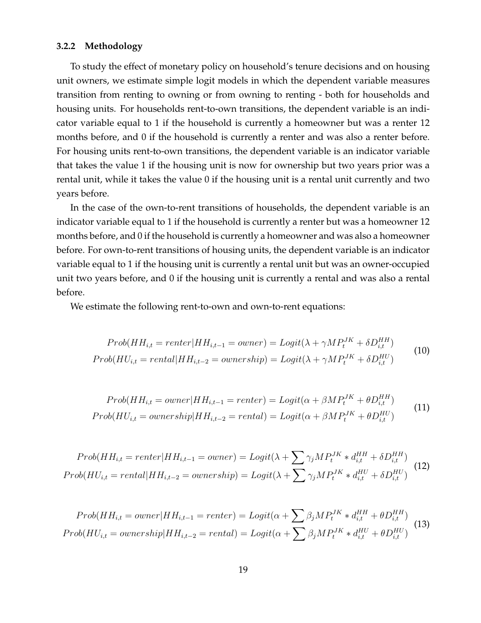#### **3.2.2 Methodology**

To study the effect of monetary policy on household's tenure decisions and on housing unit owners, we estimate simple logit models in which the dependent variable measures transition from renting to owning or from owning to renting - both for households and housing units. For households rent-to-own transitions, the dependent variable is an indicator variable equal to 1 if the household is currently a homeowner but was a renter 12 months before, and 0 if the household is currently a renter and was also a renter before. For housing units rent-to-own transitions, the dependent variable is an indicator variable that takes the value 1 if the housing unit is now for ownership but two years prior was a rental unit, while it takes the value 0 if the housing unit is a rental unit currently and two years before.

In the case of the own-to-rent transitions of households, the dependent variable is an indicator variable equal to 1 if the household is currently a renter but was a homeowner 12 months before, and 0 if the household is currently a homeowner and was also a homeowner before. For own-to-rent transitions of housing units, the dependent variable is an indicator variable equal to 1 if the housing unit is currently a rental unit but was an owner-occupied unit two years before, and 0 if the housing unit is currently a rental and was also a rental before.

We estimate the following rent-to-own and own-to-rent equations:

$$
Prob(HH_{i,t} = renter|HH_{i,t-1} = owner) = Logit(\lambda + \gamma MP_t^{JK} + \delta D_{i,t}^{HH})
$$
  
\n
$$
Prob(HU_{i,t} = rental|HH_{i,t-2} = ownership) = Logit(\lambda + \gamma MP_t^{JK} + \delta D_{i,t}^{HU})
$$
\n(10)

$$
Prob(HH_{i,t} = owner|HH_{i,t-1} = renter) = Logit(\alpha + \beta MP_t^{JK} + \theta D_{i,t}^{HH})
$$
  

$$
Prob(HU_{i,t} = ownership|HH_{i,t-2} = rental) = Logit(\alpha + \beta MP_t^{JK} + \theta D_{i,t}^{HU})
$$
 (11)

$$
Prob(HH_{i,t} = renter|HH_{i,t-1} = owner) = Logit(\lambda + \sum \gamma_j MP_t^{JK} * d_{i,t}^{HH} + \delta D_{i,t}^{HH})
$$
  
\n
$$
Prob(HU_{i,t} = rental|HH_{i,t-2} = ownership) = Logit(\lambda + \sum \gamma_j MP_t^{JK} * d_{i,t}^{HU} + \delta D_{i,t}^{HU})
$$
\n(12)

$$
Prob(HH_{i,t} = owner|HH_{i,t-1} = renter) = Logit(\alpha + \sum \beta_j MP_t^{JK} * d_{i,t}^{HH} + \theta D_{i,t}^{HH})
$$
  
\n
$$
Prob(HU_{i,t} = ownership|HH_{i,t-2} = rental) = Logit(\alpha + \sum \beta_j MP_t^{JK} * d_{i,t}^{HU} + \theta D_{i,t}^{HU})
$$
\n(13)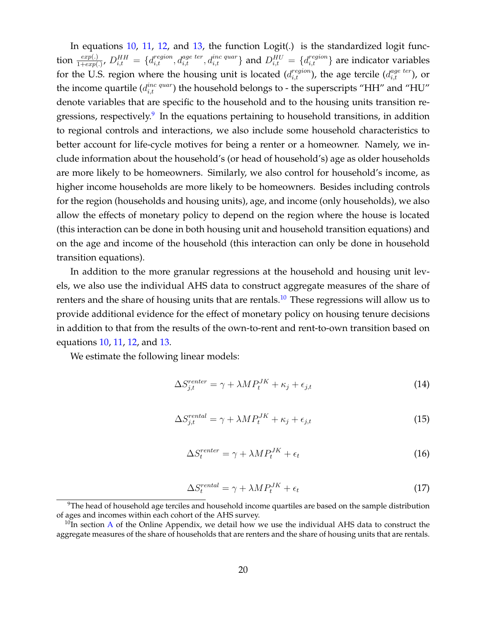In equations 10, 11, 12, and 13, the function Logit(.) is the standardized logit function  $\frac{exp(.)}{1+exp(.)}$ ,  $D_{i,t}^{HH} = \{d_{i,t}^{region}, d_{i,t}^{age\,ter}, d_{i,t}^{inc\;quar}\}$  and  $D_{i,t}^{HU} = \{d_{i,t}^{region}\}$  are indicator variables for the U.S. region where the housing unit is located  $(d_{i,t}^{region})$ , the age tercile  $(d_{i,t}^{age\ ter})$ , or the income quartile  $(d_{i,t}^{inc\;quar})$  the household belongs to - the superscripts "HH" and "HU" denote variables that are specific to the household and to the housing units transition regressions, respectively.<sup>9</sup> In the equations pertaining to household transitions, in addition to regional controls and interactions, we also include some household characteristics to better account for life-cycle motives for being a renter or a homeowner. Namely, we include information about the household's (or head of household's) age as older households are more likely to be homeowners. Similarly, we also control for household's income, as higher income households are more likely to be homeowners. Besides including controls for the region (households and housing units), age, and income (only households), we also allow the effects of monetary policy to depend on the region where the house is located (this interaction can be done in both housing unit and household transition equations) and on the age and income of the household (this interaction can only be done in household transition equations).

In addition to the more granular regressions at the household and housing unit levels, we also use the individual AHS data to construct aggregate measures of the share of renters and the share of housing units that are rentals.<sup>10</sup> These regressions will allow us to provide additional evidence for the effect of monetary policy on housing tenure decisions in addition to that from the results of the own-to-rent and rent-to-own transition based on equations 10, 11, 12, and 13.

We estimate the following linear models:

$$
\Delta S_{j,t}^{reater} = \gamma + \lambda M P_t^{JK} + \kappa_j + \epsilon_{j,t} \tag{14}
$$

$$
\Delta S_{j,t}^{rental} = \gamma + \lambda M P_t^{JK} + \kappa_j + \epsilon_{j,t} \tag{15}
$$

$$
\Delta S_t^{center} = \gamma + \lambda M P_t^{JK} + \epsilon_t \tag{16}
$$

$$
\Delta S_t^{rental} = \gamma + \lambda M P_t^{JK} + \epsilon_t \tag{17}
$$

 $9$ The head of household age terciles and household income quartiles are based on the sample distribution of ages and incomes within each cohort of the AHS survey.

 $10$ In section A of the Online Appendix, we detail how we use the individual AHS data to construct the aggregate measures of the share of households that are renters and the share of housing units that are rentals.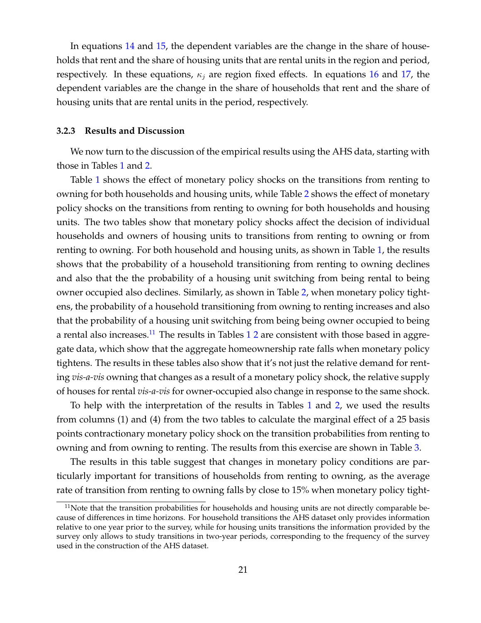In equations 14 and 15, the dependent variables are the change in the share of households that rent and the share of housing units that are rental units in the region and period, respectively. In these equations,  $\kappa_i$  are region fixed effects. In equations 16 and 17, the dependent variables are the change in the share of households that rent and the share of housing units that are rental units in the period, respectively.

#### **3.2.3 Results and Discussion**

We now turn to the discussion of the empirical results using the AHS data, starting with those in Tables 1 and 2.

Table 1 shows the effect of monetary policy shocks on the transitions from renting to owning for both households and housing units, while Table 2 shows the effect of monetary policy shocks on the transitions from renting to owning for both households and housing units. The two tables show that monetary policy shocks affect the decision of individual households and owners of housing units to transitions from renting to owning or from renting to owning. For both household and housing units, as shown in Table 1, the results shows that the probability of a household transitioning from renting to owning declines and also that the the probability of a housing unit switching from being rental to being owner occupied also declines. Similarly, as shown in Table 2, when monetary policy tightens, the probability of a household transitioning from owning to renting increases and also that the probability of a housing unit switching from being being owner occupied to being a rental also increases.<sup>11</sup> The results in Tables  $12$  are consistent with those based in aggregate data, which show that the aggregate homeownership rate falls when monetary policy tightens. The results in these tables also show that it's not just the relative demand for renting *vis-a-vis* owning that changes as a result of a monetary policy shock, the relative supply of houses for rental *vis-a-vis* for owner-occupied also change in response to the same shock.

To help with the interpretation of the results in Tables 1 and 2, we used the results from columns (1) and (4) from the two tables to calculate the marginal effect of a 25 basis points contractionary monetary policy shock on the transition probabilities from renting to owning and from owning to renting. The results from this exercise are shown in Table 3.

The results in this table suggest that changes in monetary policy conditions are particularly important for transitions of households from renting to owning, as the average rate of transition from renting to owning falls by close to 15% when monetary policy tight-

 $11$ Note that the transition probabilities for households and housing units are not directly comparable because of differences in time horizons. For household transitions the AHS dataset only provides information relative to one year prior to the survey, while for housing units transitions the information provided by the survey only allows to study transitions in two-year periods, corresponding to the frequency of the survey used in the construction of the AHS dataset.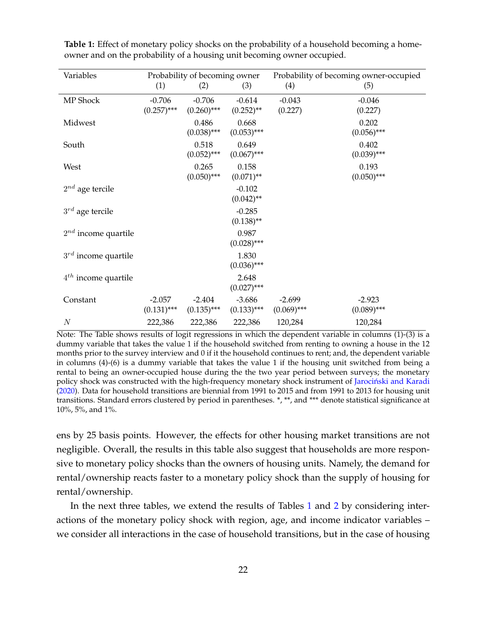| Variables                |               | Probability of becoming owner |               |               | Probability of becoming owner-occupied |
|--------------------------|---------------|-------------------------------|---------------|---------------|----------------------------------------|
|                          | (1)           | (2)                           | (3)           | (4)           | (5)                                    |
| MP Shock                 | $-0.706$      | $-0.706$                      | $-0.614$      | $-0.043$      | $-0.046$                               |
|                          | $(0.257)$ *** | $(0.260)$ ***                 | $(0.252)$ **  | (0.227)       | (0.227)                                |
| Midwest                  |               | 0.486                         | 0.668         |               | 0.202                                  |
|                          |               | $(0.038)$ ***                 | $(0.053)$ *** |               | $(0.056)$ ***                          |
| South                    |               | 0.518                         | 0.649         |               | 0.402                                  |
|                          |               | $(0.052)$ ***                 | $(0.067)$ *** |               | $(0.039)$ ***                          |
| West                     |               | 0.265                         | 0.158         |               | 0.193                                  |
|                          |               | $(0.050)$ ***                 | $(0.071)$ **  |               | $(0.050)$ ***                          |
| $2^{nd}$ age tercile     |               |                               | $-0.102$      |               |                                        |
|                          |               |                               | $(0.042)$ **  |               |                                        |
| $3^{rd}$ age tercile     |               |                               | $-0.285$      |               |                                        |
|                          |               |                               | $(0.138)$ **  |               |                                        |
| $2^{nd}$ income quartile |               |                               | 0.987         |               |                                        |
|                          |               |                               | $(0.028)$ *** |               |                                        |
| $3^{rd}$ income quartile |               |                               | 1.830         |               |                                        |
|                          |               |                               | $(0.036)$ *** |               |                                        |
| $4^{th}$ income quartile |               |                               | 2.648         |               |                                        |
|                          |               |                               | $(0.027)$ *** |               |                                        |
| Constant                 | $-2.057$      | $-2.404$                      | $-3.686$      | $-2.699$      | $-2.923$                               |
|                          | $(0.131)$ *** | $(0.135)$ ***                 | $(0.133)$ *** | $(0.069)$ *** | $(0.089)$ ***                          |
| $\boldsymbol{N}$         | 222,386       | 222,386                       | 222,386       | 120,284       | 120,284                                |

**Table 1:** Effect of monetary policy shocks on the probability of a household becoming a homeowner and on the probability of a housing unit becoming owner occupied.

Note: The Table shows results of logit regressions in which the dependent variable in columns (1)-(3) is a dummy variable that takes the value 1 if the household switched from renting to owning a house in the 12 months prior to the survey interview and 0 if it the household continues to rent; and, the dependent variable in columns (4)-(6) is a dummy variable that takes the value 1 if the housing unit switched from being a rental to being an owner-occupied house during the the two year period between surveys; the monetary policy shock was constructed with the high-frequency monetary shock instrument of Jarociński and Karadi (2020). Data for household transitions are biennial from 1991 to 2015 and from 1991 to 2013 for housing unit transitions. Standard errors clustered by period in parentheses. \*, \*\*, and \*\*\* denote statistical significance at 10%, 5%, and 1%.

ens by 25 basis points. However, the effects for other housing market transitions are not negligible. Overall, the results in this table also suggest that households are more responsive to monetary policy shocks than the owners of housing units. Namely, the demand for rental/ownership reacts faster to a monetary policy shock than the supply of housing for rental/ownership.

In the next three tables, we extend the results of Tables 1 and 2 by considering interactions of the monetary policy shock with region, age, and income indicator variables – we consider all interactions in the case of household transitions, but in the case of housing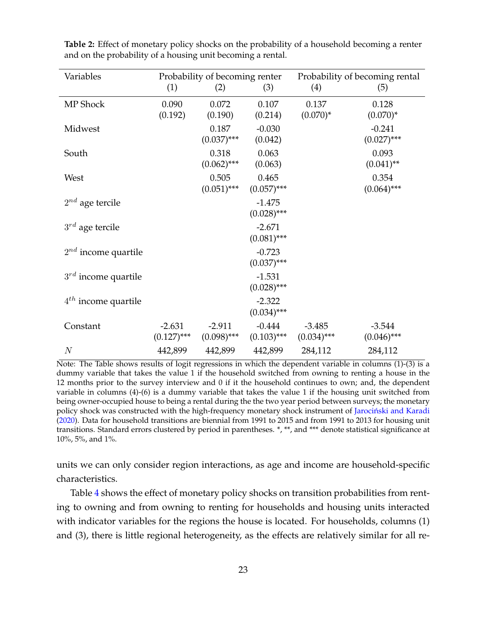| Variables                |                           | Probability of becoming renter |                           | Probability of becoming rental |                           |
|--------------------------|---------------------------|--------------------------------|---------------------------|--------------------------------|---------------------------|
|                          | (1)                       | (2)                            | (3)                       | (4)                            | (5)                       |
| MP Shock                 | 0.090<br>(0.192)          | 0.072<br>(0.190)               | 0.107<br>(0.214)          | 0.137<br>$(0.070)^*$           | 0.128<br>$(0.070)^*$      |
| Midwest                  |                           | 0.187<br>$(0.037)$ ***         | $-0.030$<br>(0.042)       |                                | $-0.241$<br>$(0.027)$ *** |
| South                    |                           | 0.318<br>$(0.062)$ ***         | 0.063<br>(0.063)          |                                | 0.093<br>$(0.041)$ **     |
| West                     |                           | 0.505<br>$(0.051)$ ***         | 0.465<br>$(0.057)$ ***    |                                | 0.354<br>$(0.064)$ ***    |
| $2^{nd}$ age tercile     |                           |                                | $-1.475$<br>$(0.028)$ *** |                                |                           |
| $3^{rd}$ age tercile     |                           |                                | $-2.671$<br>$(0.081)$ *** |                                |                           |
| $2^{nd}$ income quartile |                           |                                | $-0.723$<br>$(0.037)$ *** |                                |                           |
| $3^{rd}$ income quartile |                           |                                | $-1.531$<br>$(0.028)$ *** |                                |                           |
| $4^{th}$ income quartile |                           |                                | $-2.322$<br>$(0.034)$ *** |                                |                           |
| Constant                 | $-2.631$<br>$(0.127)$ *** | $-2.911$<br>$(0.098)$ ***      | $-0.444$<br>$(0.103)$ *** | $-3.485$<br>$(0.034)$ ***      | $-3.544$<br>$(0.046)$ *** |
| $\overline{N}$           | 442,899                   | 442,899                        | 442,899                   | 284,112                        | 284,112                   |

**Table 2:** Effect of monetary policy shocks on the probability of a household becoming a renter and on the probability of a housing unit becoming a rental.

Note: The Table shows results of logit regressions in which the dependent variable in columns (1)-(3) is a dummy variable that takes the value 1 if the household switched from owning to renting a house in the 12 months prior to the survey interview and 0 if it the household continues to own; and, the dependent variable in columns (4)-(6) is a dummy variable that takes the value 1 if the housing unit switched from being owner-occupied house to being a rental during the the two year period between surveys; the monetary policy shock was constructed with the high-frequency monetary shock instrument of Jarociński and Karadi (2020). Data for household transitions are biennial from 1991 to 2015 and from 1991 to 2013 for housing unit transitions. Standard errors clustered by period in parentheses. \*, \*\*, and \*\*\* denote statistical significance at 10%, 5%, and 1%.

units we can only consider region interactions, as age and income are household-specific characteristics.

Table 4 shows the effect of monetary policy shocks on transition probabilities from renting to owning and from owning to renting for households and housing units interacted with indicator variables for the regions the house is located. For households, columns (1) and (3), there is little regional heterogeneity, as the effects are relatively similar for all re-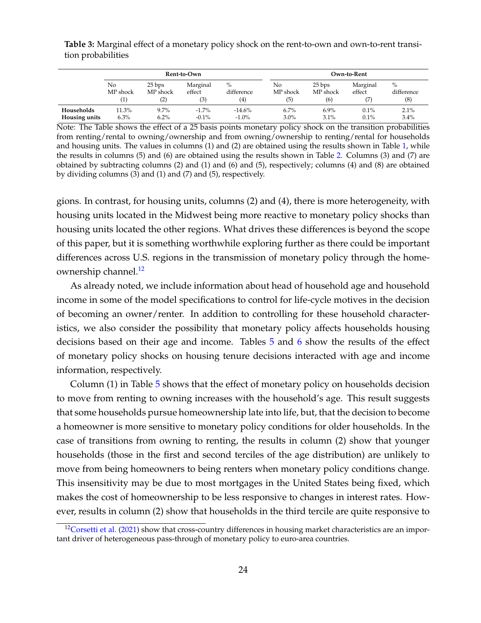**Table 3:** Marginal effect of a monetary policy shock on the rent-to-own and own-to-rent transition probabilities

|               | Rent-to-Own    |                          |                           |                           |                       |                           | Own-to-Rent        |                           |
|---------------|----------------|--------------------------|---------------------------|---------------------------|-----------------------|---------------------------|--------------------|---------------------------|
|               | No<br>MP shock | 25 bps<br>MP shock<br>2) | Marginal<br>effect<br>(3) | $\%$<br>difference<br>(4) | No<br>MP shock<br>(5) | 25 bps<br>MP shock<br>(6) | Marginal<br>effect | $\%$<br>difference<br>(8) |
| Households    | 11.3%          | $9.7\%$                  | $-1.7\%$                  | $-14.6%$                  | 6.7%                  | $6.9\%$                   | 0.1%               | 2.1%                      |
| Housing units | 6.3%           | $6.2\%$                  | $-0.1%$                   | $-1.0\%$                  | $3.0\%$               | 3.1%                      | 0.1%               | 3.4%                      |

Note: The Table shows the effect of a 25 basis points monetary policy shock on the transition probabilities from renting/rental to owning/ownership and from owning/ownership to renting/rental for households and housing units. The values in columns (1) and (2) are obtained using the results shown in Table 1, while the results in columns (5) and (6) are obtained using the results shown in Table 2. Columns (3) and (7) are obtained by subtracting columns  $(2)$  and  $(1)$  and  $(6)$  and  $(5)$ , respectively; columns  $(4)$  and  $(8)$  are obtained by dividing columns (3) and (1) and (7) and (5), respectively.

gions. In contrast, for housing units, columns (2) and (4), there is more heterogeneity, with housing units located in the Midwest being more reactive to monetary policy shocks than housing units located the other regions. What drives these differences is beyond the scope of this paper, but it is something worthwhile exploring further as there could be important differences across U.S. regions in the transmission of monetary policy through the homeownership channel.<sup>12</sup>

As already noted, we include information about head of household age and household income in some of the model specifications to control for life-cycle motives in the decision of becoming an owner/renter. In addition to controlling for these household characteristics, we also consider the possibility that monetary policy affects households housing decisions based on their age and income. Tables 5 and 6 show the results of the effect of monetary policy shocks on housing tenure decisions interacted with age and income information, respectively.

Column (1) in Table 5 shows that the effect of monetary policy on households decision to move from renting to owning increases with the household's age. This result suggests that some households pursue homeownership late into life, but, that the decision to become a homeowner is more sensitive to monetary policy conditions for older households. In the case of transitions from owning to renting, the results in column (2) show that younger households (those in the first and second terciles of the age distribution) are unlikely to move from being homeowners to being renters when monetary policy conditions change. This insensitivity may be due to most mortgages in the United States being fixed, which makes the cost of homeownership to be less responsive to changes in interest rates. However, results in column (2) show that households in the third tercile are quite responsive to

<sup>&</sup>lt;sup>12</sup>Corsetti et al. (2021) show that cross-country differences in housing market characteristics are an important driver of heterogeneous pass-through of monetary policy to euro-area countries.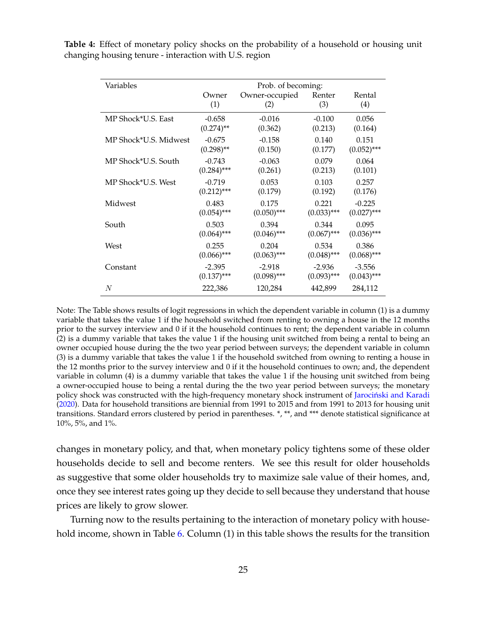| Variables             | Prob. of becoming: |                |               |               |  |  |  |
|-----------------------|--------------------|----------------|---------------|---------------|--|--|--|
|                       | Owner              | Owner-occupied | Renter        | Rental        |  |  |  |
|                       | (1)                | (2)            | (3)           | (4)           |  |  |  |
| MP Shock*U.S. East    | $-0.658$           | $-0.016$       | $-0.100$      | 0.056         |  |  |  |
|                       | $(0.274)$ **       | (0.362)        | (0.213)       | (0.164)       |  |  |  |
| MP Shock*U.S. Midwest | $-0.675$           | $-0.158$       | 0.140         | 0.151         |  |  |  |
|                       | $(0.298)$ **       | (0.150)        | (0.177)       | $(0.052)$ *** |  |  |  |
| MP Shock*U.S. South   | $-0.743$           | $-0.063$       | 0.079         | 0.064         |  |  |  |
|                       | $(0.284)$ ***      | (0.261)        | (0.213)       | (0.101)       |  |  |  |
| MP Shock*U.S. West    | $-0.719$           | 0.053          | 0.103         | 0.257         |  |  |  |
|                       | $(0.212)$ ***      | (0.179)        | (0.192)       | (0.176)       |  |  |  |
| Midwest               | 0.483              | 0.175          | 0.221         | $-0.225$      |  |  |  |
|                       | $(0.054)$ ***      | $(0.050)$ ***  | $(0.033)$ *** | $(0.027)$ *** |  |  |  |
| South                 | 0.503              | 0.394          | 0.344         | 0.095         |  |  |  |
|                       | $(0.064)$ ***      | $(0.046)$ ***  | $(0.067)$ *** | $(0.036)$ *** |  |  |  |
| West                  | 0.255              | 0.204          | 0.534         | 0.386         |  |  |  |
|                       | $(0.066)$ ***      | $(0.063)$ ***  | $(0.048)$ *** | $(0.068)$ *** |  |  |  |
| Constant              | $-2.395$           | $-2.918$       | $-2.936$      | $-3.556$      |  |  |  |
|                       | $(0.137)$ ***      | $(0.098)$ ***  | $(0.093)$ *** | $(0.043)$ *** |  |  |  |
| $\,N$                 | 222,386            | 120,284        | 442,899       | 284,112       |  |  |  |

**Table 4:** Effect of monetary policy shocks on the probability of a household or housing unit changing housing tenure - interaction with U.S. region

Note: The Table shows results of logit regressions in which the dependent variable in column (1) is a dummy variable that takes the value 1 if the household switched from renting to owning a house in the 12 months prior to the survey interview and 0 if it the household continues to rent; the dependent variable in column (2) is a dummy variable that takes the value 1 if the housing unit switched from being a rental to being an owner occupied house during the the two year period between surveys; the dependent variable in column (3) is a dummy variable that takes the value 1 if the household switched from owning to renting a house in the 12 months prior to the survey interview and 0 if it the household continues to own; and, the dependent variable in column (4) is a dummy variable that takes the value 1 if the housing unit switched from being a owner-occupied house to being a rental during the the two year period between surveys; the monetary policy shock was constructed with the high-frequency monetary shock instrument of Jarociński and Karadi (2020). Data for household transitions are biennial from 1991 to 2015 and from 1991 to 2013 for housing unit transitions. Standard errors clustered by period in parentheses. \*, \*\*, and \*\*\* denote statistical significance at 10%, 5%, and 1%.

changes in monetary policy, and that, when monetary policy tightens some of these older households decide to sell and become renters. We see this result for older households as suggestive that some older households try to maximize sale value of their homes, and, once they see interest rates going up they decide to sell because they understand that house prices are likely to grow slower.

Turning now to the results pertaining to the interaction of monetary policy with household income, shown in Table 6. Column (1) in this table shows the results for the transition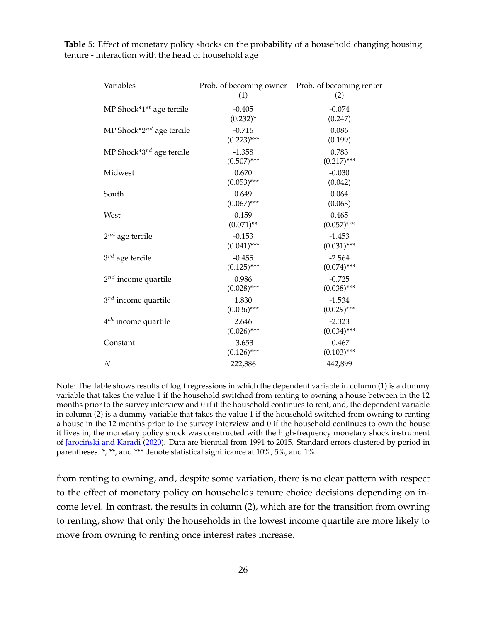| Variables                      | Prob. of becoming owner Prob. of becoming renter<br>(1) | (2)                       |
|--------------------------------|---------------------------------------------------------|---------------------------|
| MP Shock* $1^{st}$ age tercile | $-0.405$<br>$(0.232)^{*}$                               | $-0.074$<br>(0.247)       |
| MP Shock* $2^{nd}$ age tercile | $-0.716$<br>$(0.273)$ ***                               | 0.086<br>(0.199)          |
| MP Shock*3 $^{rd}$ age tercile | $-1.358$<br>$(0.507)$ ***                               | 0.783<br>$(0.217)$ ***    |
| Midwest                        | 0.670<br>$(0.053)$ ***                                  | $-0.030$<br>(0.042)       |
| South                          | 0.649<br>$(0.067)$ ***                                  | 0.064<br>(0.063)          |
| West                           | 0.159<br>$(0.071)$ **                                   | 0.465<br>$(0.057)$ ***    |
| $2^{nd}$ age tercile           | $-0.153$<br>$(0.041)$ ***                               | $-1.453$<br>$(0.031)$ *** |
| $3^{rd}$ age tercile           | $-0.455$<br>$(0.125)$ ***                               | $-2.564$<br>$(0.074)$ *** |
| $2^{nd}$ income quartile       | 0.986<br>$(0.028)$ ***                                  | $-0.725$<br>$(0.038)$ *** |
| $3^{rd}$ income quartile       | 1.830<br>$(0.036)$ ***                                  | $-1.534$<br>$(0.029)$ *** |
| $4^{th}$ income quartile       | 2.646<br>$(0.026)$ ***                                  | $-2.323$<br>$(0.034)$ *** |
| Constant                       | $-3.653$<br>$(0.126)$ ***                               | $-0.467$<br>$(0.103)$ *** |
| $\boldsymbol{N}$               | 222,386                                                 | 442,899                   |

**Table 5:** Effect of monetary policy shocks on the probability of a household changing housing tenure - interaction with the head of household age

Note: The Table shows results of logit regressions in which the dependent variable in column (1) is a dummy variable that takes the value 1 if the household switched from renting to owning a house between in the 12 months prior to the survey interview and 0 if it the household continues to rent; and, the dependent variable in column (2) is a dummy variable that takes the value 1 if the household switched from owning to renting a house in the 12 months prior to the survey interview and 0 if the household continues to own the house it lives in; the monetary policy shock was constructed with the high-frequency monetary shock instrument of Jarociński and Karadi (2020). Data are biennial from 1991 to 2015. Standard errors clustered by period in parentheses. \*, \*\*, and \*\*\* denote statistical significance at 10%, 5%, and 1%.

from renting to owning, and, despite some variation, there is no clear pattern with respect to the effect of monetary policy on households tenure choice decisions depending on income level. In contrast, the results in column (2), which are for the transition from owning to renting, show that only the households in the lowest income quartile are more likely to move from owning to renting once interest rates increase.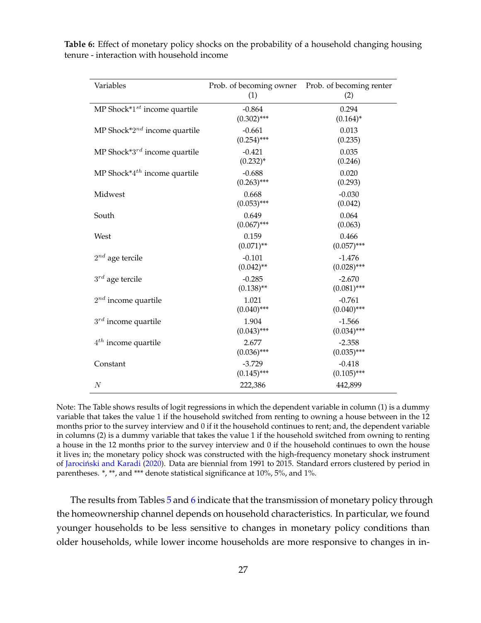| Variables                                | Prob. of becoming owner<br>(1) | Prob. of becoming renter<br>(2) |
|------------------------------------------|--------------------------------|---------------------------------|
| MP Shock* $1^{st}$ income quartile       | $-0.864$<br>$(0.302)$ ***      | 0.294<br>$(0.164)^*$            |
| MP Shock* $2^{nd}$ income quartile       | $-0.661$<br>$(0.254)$ ***      | 0.013<br>(0.235)                |
| MP Shock* $3^{rd}$ income quartile       | $-0.421$<br>$(0.232)^{*}$      | 0.035<br>(0.246)                |
| MP Shock <sup>*4th</sup> income quartile | $-0.688$<br>$(0.263)$ ***      | 0.020<br>(0.293)                |
| Midwest                                  | 0.668<br>$(0.053)$ ***         | $-0.030$<br>(0.042)             |
| South                                    | 0.649<br>$(0.067)$ ***         | 0.064<br>(0.063)                |
| West                                     | 0.159<br>$(0.071)$ **          | 0.466<br>$(0.057)$ ***          |
| $2^{nd}$ age tercile                     | $-0.101$<br>$(0.042)$ **       | $-1.476$<br>$(0.028)$ ***       |
| $3^{rd}$ age tercile                     | $-0.285$<br>$(0.138)$ **       | $-2.670$<br>$(0.081)$ ***       |
| $2^{nd}$ income quartile                 | 1.021<br>$(0.040)$ ***         | $-0.761$<br>$(0.040)$ ***       |
| $3^{rd}$ income quartile                 | 1.904<br>$(0.043)$ ***         | $-1.566$<br>$(0.034)$ ***       |
| $4^{th}$ income quartile                 | 2.677<br>$(0.036)$ ***         | $-2.358$<br>$(0.035)$ ***       |
| Constant                                 | $-3.729$<br>$(0.145)$ ***      | $-0.418$<br>$(0.105)$ ***       |
| $\boldsymbol{N}$                         | 222,386                        | 442,899                         |

**Table 6:** Effect of monetary policy shocks on the probability of a household changing housing tenure - interaction with household income

Note: The Table shows results of logit regressions in which the dependent variable in column (1) is a dummy variable that takes the value 1 if the household switched from renting to owning a house between in the 12 months prior to the survey interview and 0 if it the household continues to rent; and, the dependent variable in columns (2) is a dummy variable that takes the value 1 if the household switched from owning to renting a house in the 12 months prior to the survey interview and 0 if the household continues to own the house it lives in; the monetary policy shock was constructed with the high-frequency monetary shock instrument of Jarociński and Karadi (2020). Data are biennial from 1991 to 2015. Standard errors clustered by period in parentheses. \*, \*\*, and \*\*\* denote statistical significance at 10%, 5%, and 1%.

The results from Tables 5 and 6 indicate that the transmission of monetary policy through the homeownership channel depends on household characteristics. In particular, we found younger households to be less sensitive to changes in monetary policy conditions than older households, while lower income households are more responsive to changes in in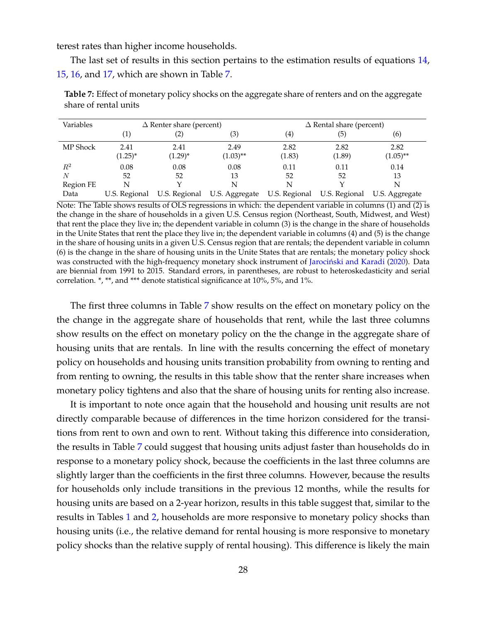terest rates than higher income households.

The last set of results in this section pertains to the estimation results of equations 14, 15, 16, and 17, which are shown in Table 7.

| Variables |               | $\Delta$ Renter share (percent) |                | $\Delta$ Rental share (percent) |        |                |
|-----------|---------------|---------------------------------|----------------|---------------------------------|--------|----------------|
|           |               | (2)                             | (3)            | $\left( 4\right)$               | (5)    | (6)            |
| MP Shock  | 2.41          | 2.41                            | 2.49           | 2.82                            | 2.82   | 2.82           |
|           | $(1.25)^{*}$  | $(1.29)^{*}$                    | $(1.03)$ **    | (1.83)                          | (1.89) | $(1.05)$ **    |
| $R^2$     | 0.08          | 0.08                            | 0.08           | 0.11                            | 0.11   | 0.14           |
| N         | 52            | 52                              | 13             | 52                              | 52     | 13             |
| Region FE | N             |                                 | N              | N                               |        | N              |
| Data      | U.S. Regional | U.S. Regional                   | U.S. Aggregate | U.S. Regional U.S. Regional     |        | U.S. Aggregate |

**Table 7:** Effect of monetary policy shocks on the aggregate share of renters and on the aggregate share of rental units

Note: The Table shows results of OLS regressions in which: the dependent variable in columns (1) and (2) is the change in the share of households in a given U.S. Census region (Northeast, South, Midwest, and West) that rent the place they live in; the dependent variable in column (3) is the change in the share of households in the Unite States that rent the place they live in; the dependent variable in columns (4) and (5) is the change in the share of housing units in a given U.S. Census region that are rentals; the dependent variable in column (6) is the change in the share of housing units in the Unite States that are rentals; the monetary policy shock was constructed with the high-frequency monetary shock instrument of Jarociński and Karadi (2020). Data are biennial from 1991 to 2015. Standard errors, in parentheses, are robust to heteroskedasticity and serial correlation. \*, \*\*, and \*\*\* denote statistical significance at 10%, 5%, and 1%.

The first three columns in Table 7 show results on the effect on monetary policy on the the change in the aggregate share of households that rent, while the last three columns show results on the effect on monetary policy on the the change in the aggregate share of housing units that are rentals. In line with the results concerning the effect of monetary policy on households and housing units transition probability from owning to renting and from renting to owning, the results in this table show that the renter share increases when monetary policy tightens and also that the share of housing units for renting also increase.

It is important to note once again that the household and housing unit results are not directly comparable because of differences in the time horizon considered for the transitions from rent to own and own to rent. Without taking this difference into consideration, the results in Table 7 could suggest that housing units adjust faster than households do in response to a monetary policy shock, because the coefficients in the last three columns are slightly larger than the coefficients in the first three columns. However, because the results for households only include transitions in the previous 12 months, while the results for housing units are based on a 2-year horizon, results in this table suggest that, similar to the results in Tables 1 and 2, households are more responsive to monetary policy shocks than housing units (i.e., the relative demand for rental housing is more responsive to monetary policy shocks than the relative supply of rental housing). This difference is likely the main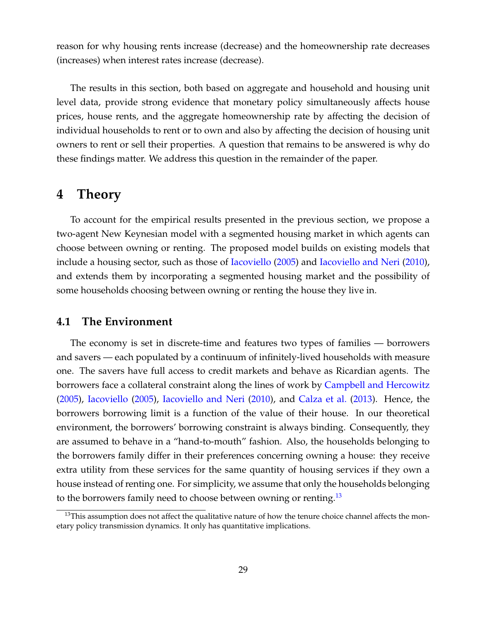reason for why housing rents increase (decrease) and the homeownership rate decreases (increases) when interest rates increase (decrease).

The results in this section, both based on aggregate and household and housing unit level data, provide strong evidence that monetary policy simultaneously affects house prices, house rents, and the aggregate homeownership rate by affecting the decision of individual households to rent or to own and also by affecting the decision of housing unit owners to rent or sell their properties. A question that remains to be answered is why do these findings matter. We address this question in the remainder of the paper.

## **4 Theory**

To account for the empirical results presented in the previous section, we propose a two-agent New Keynesian model with a segmented housing market in which agents can choose between owning or renting. The proposed model builds on existing models that include a housing sector, such as those of Iacoviello (2005) and Iacoviello and Neri (2010), and extends them by incorporating a segmented housing market and the possibility of some households choosing between owning or renting the house they live in.

## **4.1 The Environment**

The economy is set in discrete-time and features two types of families — borrowers and savers — each populated by a continuum of infinitely-lived households with measure one. The savers have full access to credit markets and behave as Ricardian agents. The borrowers face a collateral constraint along the lines of work by Campbell and Hercowitz (2005), Iacoviello (2005), Iacoviello and Neri (2010), and Calza et al. (2013). Hence, the borrowers borrowing limit is a function of the value of their house. In our theoretical environment, the borrowers' borrowing constraint is always binding. Consequently, they are assumed to behave in a "hand-to-mouth" fashion. Also, the households belonging to the borrowers family differ in their preferences concerning owning a house: they receive extra utility from these services for the same quantity of housing services if they own a house instead of renting one. For simplicity, we assume that only the households belonging to the borrowers family need to choose between owning or renting.<sup>13</sup>

<sup>&</sup>lt;sup>13</sup>This assumption does not affect the qualitative nature of how the tenure choice channel affects the monetary policy transmission dynamics. It only has quantitative implications.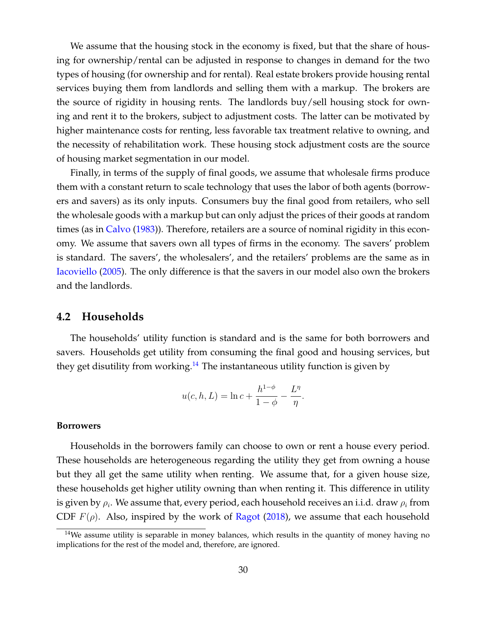We assume that the housing stock in the economy is fixed, but that the share of housing for ownership/rental can be adjusted in response to changes in demand for the two types of housing (for ownership and for rental). Real estate brokers provide housing rental services buying them from landlords and selling them with a markup. The brokers are the source of rigidity in housing rents. The landlords buy/sell housing stock for owning and rent it to the brokers, subject to adjustment costs. The latter can be motivated by higher maintenance costs for renting, less favorable tax treatment relative to owning, and the necessity of rehabilitation work. These housing stock adjustment costs are the source of housing market segmentation in our model.

Finally, in terms of the supply of final goods, we assume that wholesale firms produce them with a constant return to scale technology that uses the labor of both agents (borrowers and savers) as its only inputs. Consumers buy the final good from retailers, who sell the wholesale goods with a markup but can only adjust the prices of their goods at random times (as in Calvo (1983)). Therefore, retailers are a source of nominal rigidity in this economy. We assume that savers own all types of firms in the economy. The savers' problem is standard. The savers', the wholesalers', and the retailers' problems are the same as in Iacoviello (2005). The only difference is that the savers in our model also own the brokers and the landlords.

#### **4.2 Households**

The households' utility function is standard and is the same for both borrowers and savers. Households get utility from consuming the final good and housing services, but they get disutility from working.<sup>14</sup> The instantaneous utility function is given by

$$
u(c, h, L) = \ln c + \frac{h^{1-\phi}}{1-\phi} - \frac{L^{\eta}}{\eta}.
$$

#### **Borrowers**

Households in the borrowers family can choose to own or rent a house every period. These households are heterogeneous regarding the utility they get from owning a house but they all get the same utility when renting. We assume that, for a given house size, these households get higher utility owning than when renting it. This difference in utility is given by  $\rho_i.$  We assume that, every period, each household receives an i.i.d. draw  $\rho_i$  from CDF  $F(\rho)$ . Also, inspired by the work of Ragot (2018), we assume that each household

 $14$ We assume utility is separable in money balances, which results in the quantity of money having no implications for the rest of the model and, therefore, are ignored.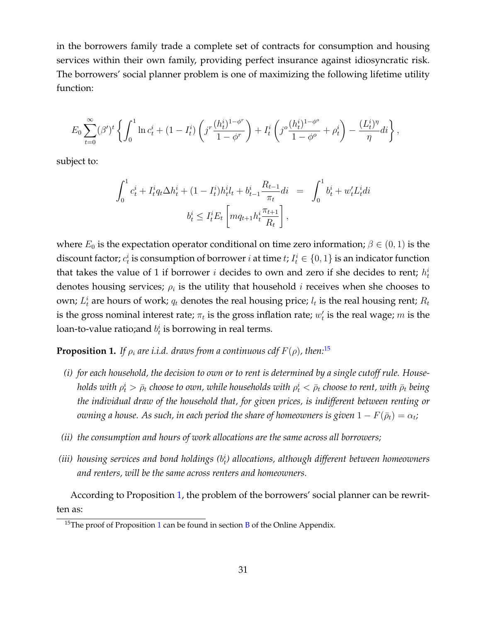in the borrowers family trade a complete set of contracts for consumption and housing services within their own family, providing perfect insurance against idiosyncratic risk. The borrowers' social planner problem is one of maximizing the following lifetime utility function:

$$
E_0 \sum_{t=0}^{\infty} (\beta')^t \left\{ \int_0^1 \ln c_t^i + (1 - I_t^i) \left( j^r \frac{(h_t^i)^{1-\phi^r}}{1-\phi^r} \right) + I_t^i \left( j^o \frac{(h_t^i)^{1-\phi^o}}{1-\phi^o} + \rho_t^i \right) - \frac{(L_t^i)^{\eta}}{\eta} di \right\},\,
$$

subject to:

$$
\int_0^1 c_t^i + I_t^i q_t \Delta h_t^i + (1 - I_t^i) h_t^i l_t + b_{t-1}^i \frac{R_{t-1}}{\pi_t} dt = \int_0^1 b_t^i + w_t^i L_t^i dt
$$

$$
b_t^i \le I_t^i E_t \left[ m q_{t+1} h_t^i \frac{\pi_{t+1}}{R_t} \right],
$$

where  $E_0$  is the expectation operator conditional on time zero information;  $\beta \in (0,1)$  is the discount factor;  $c_t^i$  is consumption of borrower  $i$  at time  $t$ ;  $I_t^i \in \{0,1\}$  is an indicator function that takes the value of 1 if borrower i decides to own and zero if she decides to rent;  $h_t^i$ denotes housing services;  $\rho_i$  is the utility that household i receives when she chooses to own;  $L_t^i$  are hours of work;  $q_t$  denotes the real housing price;  $l_t$  is the real housing rent;  $R_t$ is the gross nominal interest rate;  $\pi_t$  is the gross inflation rate;  $w_t'$  $_t'$  is the real wage;  $m$  is the loan-to-value ratio;and  $b_t^i$  is borrowing in real terms.

**Proposition 1.** *If*  $\rho_i$  *are i.i.d. draws from a continuous cdf*  $F(\rho)$ *, then*:<sup>15</sup>

- *(i) for each household, the decision to own or to rent is determined by a single cutoff rule. House*holds with  $\rho^i_t > \bar\rho_t$  choose to own, while households with  $\rho^i_t < \bar\rho_t$  choose to rent, with  $\bar\rho_t$  being *the individual draw of the household that, for given prices, is indifferent between renting or*  $o$ wning a house. As such, in each period the share of homeowners is given  $1-F(\bar\rho_t)=\alpha_t;$
- *(ii) the consumption and hours of work allocations are the same across all borrowers;*
- (iii) housing services and bond holdings ( $b_t^i$ ) allocations, although different between homeowners *and renters, will be the same across renters and homeowners.*

According to Proposition 1, the problem of the borrowers' social planner can be rewritten as:

<sup>&</sup>lt;sup>15</sup>The proof of Proposition 1 can be found in section  $\overline{B}$  of the Online Appendix.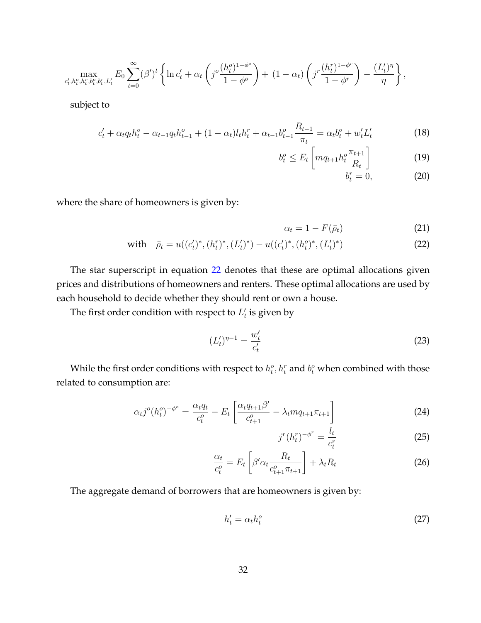$$
\max_{c'_t, h_t^o, h_t^r, b_t^o, b_t^r, L_t'} E_0 \sum_{t=0}^{\infty} (\beta')^t \left\{ \ln c'_t + \alpha_t \left( j^o \frac{(h_t^o)^{1-\phi^o}}{1-\phi^o} \right) + (1-\alpha_t) \left( j^r \frac{(h_t^r)^{1-\phi^r}}{1-\phi^r} \right) - \frac{(L_t')^{\eta}}{\eta} \right\},\,
$$

subject to

$$
c'_{t} + \alpha_{t} q_{t} h_{t}^{o} - \alpha_{t-1} q_{t} h_{t-1}^{o} + (1 - \alpha_{t}) l_{t} h_{t}^{r} + \alpha_{t-1} b_{t-1}^{o} \frac{R_{t-1}}{\pi_{t}} = \alpha_{t} b_{t}^{o} + w'_{t} L'_{t}
$$
 (18)

$$
b_t^o \le E_t \left[ m q_{t+1} h_t^o \frac{\pi_{t+1}}{R_t} \right]
$$
 (19)  

$$
b_t^r = 0,
$$
 (20)

$$
t = 0, \t(20)
$$

where the share of homeowners is given by:

$$
\alpha_t = 1 - F(\bar{\rho}_t) \tag{21}
$$

with 
$$
\bar{\rho}_t = u((c'_t)^*, (h_t^r)^*, (L'_t)^*) - u((c'_t)^*, (h_t^o)^*, (L'_t)^*)
$$
 (22)

The star superscript in equation 22 denotes that these are optimal allocations given prices and distributions of homeowners and renters. These optimal allocations are used by each household to decide whether they should rent or own a house.

The first order condition with respect to  $L_t$  $_t'$  is given by

$$
(L'_t)^{\eta - 1} = \frac{w'_t}{c'_t} \tag{23}
$$

While the first order conditions with respect to  $h_t^o, h_t^r$  and  $b_t^o$  when combined with those related to consumption are:

$$
\alpha_{t}j^{o}(h_{t}^{o})^{-\phi^{o}} = \frac{\alpha_{t}q_{t}}{c_{t}^{o}} - E_{t}\left[\frac{\alpha_{t}q_{t+1}\beta'}{c_{t+1}^{o}} - \lambda_{t}mq_{t+1}\pi_{t+1}\right]
$$
(24)

$$
j^{r}(h_{t}^{r})^{-\phi^{r}} = \frac{l_{t}}{c_{t}^{r}}
$$
\n
$$
(25)
$$

$$
\frac{\alpha_t}{c_t^o} = E_t \left[ \beta' \alpha_t \frac{R_t}{c_{t+1}^o \pi_{t+1}} \right] + \lambda_t R_t \tag{26}
$$

The aggregate demand of borrowers that are homeowners is given by:

$$
h_t' = \alpha_t h_t^o \tag{27}
$$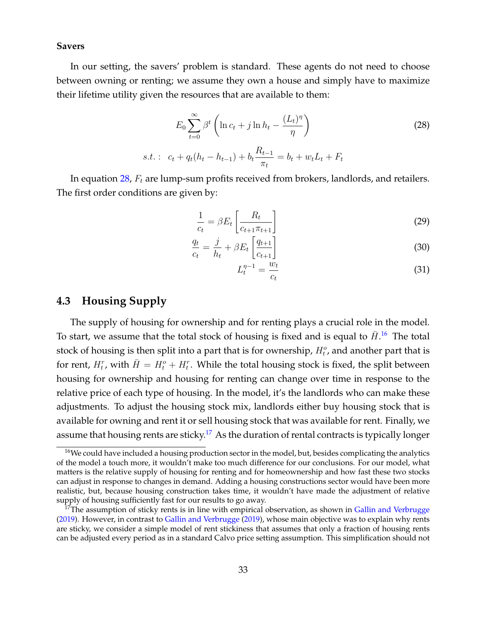#### **Savers**

In our setting, the savers' problem is standard. These agents do not need to choose between owning or renting; we assume they own a house and simply have to maximize their lifetime utility given the resources that are available to them:

$$
E_0 \sum_{t=0}^{\infty} \beta^t \left( \ln c_t + j \ln h_t - \frac{(L_t)^{\eta}}{\eta} \right)
$$
  
s.t. :  $c_t + q_t (h_t - h_{t-1}) + b_t \frac{R_{t-1}}{\pi_t} = b_t + w_t L_t + F_t$  (28)

In equation  $28$ ,  $F_t$  are lump-sum profits received from brokers, landlords, and retailers. The first order conditions are given by:

$$
\frac{1}{c_t} = \beta E_t \left[ \frac{R_t}{c_{t+1} \pi_{t+1}} \right]
$$
\n(29)

$$
\frac{q_t}{c_t} = \frac{j}{h_t} + \beta E_t \left[ \frac{q_{t+1}}{c_{t+1}} \right]
$$
\n(30)

$$
L_t^{\eta-1} = \frac{w_t}{c_t} \tag{31}
$$

## **4.3 Housing Supply**

The supply of housing for ownership and for renting plays a crucial role in the model. To start, we assume that the total stock of housing is fixed and is equal to  $\bar{H}$ .<sup>16</sup> The total stock of housing is then split into a part that is for ownership,  $H_t^o$ , and another part that is for rent,  $H_t^r$ , with  $\bar{H} = H_t^o + H_t^r$ . While the total housing stock is fixed, the split between housing for ownership and housing for renting can change over time in response to the relative price of each type of housing. In the model, it's the landlords who can make these adjustments. To adjust the housing stock mix, landlords either buy housing stock that is available for owning and rent it or sell housing stock that was available for rent. Finally, we assume that housing rents are sticky.<sup>17</sup> As the duration of rental contracts is typically longer

<sup>&</sup>lt;sup>16</sup>We could have included a housing production sector in the model, but, besides complicating the analytics of the model a touch more, it wouldn't make too much difference for our conclusions. For our model, what matters is the relative supply of housing for renting and for homeownership and how fast these two stocks can adjust in response to changes in demand. Adding a housing constructions sector would have been more realistic, but, because housing construction takes time, it wouldn't have made the adjustment of relative supply of housing sufficiently fast for our results to go away.

 $17$ The assumption of sticky rents is in line with empirical observation, as shown in Gallin and Verbrugge (2019). However, in contrast to Gallin and Verbrugge (2019), whose main objective was to explain why rents are sticky, we consider a simple model of rent stickiness that assumes that only a fraction of housing rents can be adjusted every period as in a standard Calvo price setting assumption. This simplification should not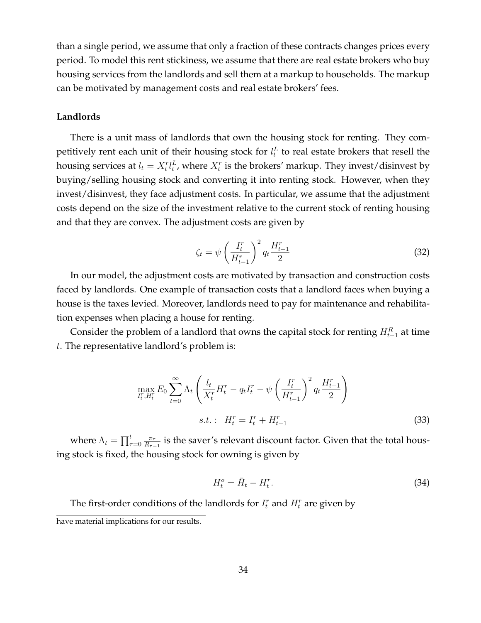than a single period, we assume that only a fraction of these contracts changes prices every period. To model this rent stickiness, we assume that there are real estate brokers who buy housing services from the landlords and sell them at a markup to households. The markup can be motivated by management costs and real estate brokers' fees.

#### **Landlords**

There is a unit mass of landlords that own the housing stock for renting. They competitively rent each unit of their housing stock for  $l_t^L$  to real estate brokers that resell the housing services at  $l_t = X_t^r l_t^L$ , where  $X_t^r$  is the brokers' markup. They invest/disinvest by buying/selling housing stock and converting it into renting stock. However, when they invest/disinvest, they face adjustment costs. In particular, we assume that the adjustment costs depend on the size of the investment relative to the current stock of renting housing and that they are convex. The adjustment costs are given by

$$
\zeta_t = \psi \left(\frac{I_t^r}{H_{t-1}^r}\right)^2 q_t \frac{H_{t-1}^r}{2}
$$
\n(32)

In our model, the adjustment costs are motivated by transaction and construction costs faced by landlords. One example of transaction costs that a landlord faces when buying a house is the taxes levied. Moreover, landlords need to pay for maintenance and rehabilitation expenses when placing a house for renting.

Consider the problem of a landlord that owns the capital stock for renting  $H_{t-1}^R$  at time t. The representative landlord's problem is:

$$
\max_{I_t^r, H_t^r} E_0 \sum_{t=0}^{\infty} \Lambda_t \left( \frac{l_t}{X_t^r} H_t^r - q_t I_t^r - \psi \left( \frac{I_t^r}{H_{t-1}^r} \right)^2 q_t \frac{H_{t-1}^r}{2} \right)
$$
  
s.t. :  $H_t^r = I_t^r + H_{t-1}^r$  (33)

where  $\Lambda_t = \prod_{\tau=0}^t \frac{\pi_\tau}{R_{\tau-1}}$  $\frac{\pi_{\tau-}}{R_{\tau-1}}$  is the saver's relevant discount factor. Given that the total housing stock is fixed, the housing stock for owning is given by

$$
H_t^o = \bar{H}_t - H_t^r. \tag{34}
$$

The first-order conditions of the landlords for  $I_t^r$  and  $H_t^r$  are given by

have material implications for our results.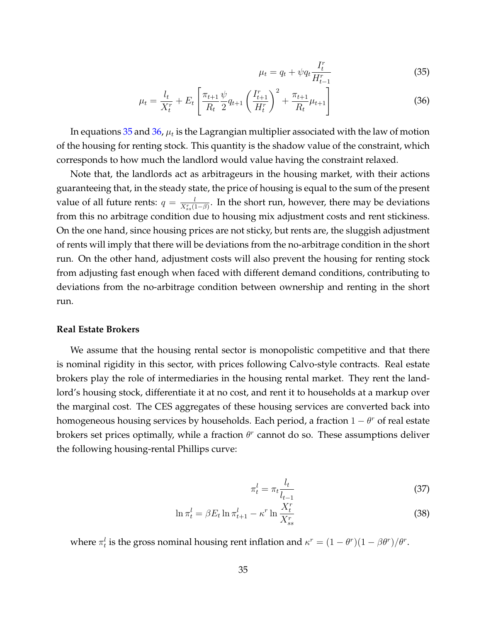$$
\mu_t = q_t + \psi q_t \frac{I_t^r}{H_{t-1}^r}
$$
\n(35)

$$
\mu_t = \frac{l_t}{X_t^r} + E_t \left[ \frac{\pi_{t+1}}{R_t} \frac{\psi}{2} q_{t+1} \left( \frac{I_{t+1}^r}{H_t^r} \right)^2 + \frac{\pi_{t+1}}{R_t} \mu_{t+1} \right]
$$
(36)

In equations 35 and 36,  $\mu_t$  is the Lagrangian multiplier associated with the law of motion of the housing for renting stock. This quantity is the shadow value of the constraint, which corresponds to how much the landlord would value having the constraint relaxed.

Note that, the landlords act as arbitrageurs in the housing market, with their actions guaranteeing that, in the steady state, the price of housing is equal to the sum of the present value of all future rents:  $q = \frac{l}{X^r(l)}$  $\frac{l}{X_{ss}^{r}(1-\beta)}$ . In the short run, however, there may be deviations from this no arbitrage condition due to housing mix adjustment costs and rent stickiness. On the one hand, since housing prices are not sticky, but rents are, the sluggish adjustment of rents will imply that there will be deviations from the no-arbitrage condition in the short run. On the other hand, adjustment costs will also prevent the housing for renting stock from adjusting fast enough when faced with different demand conditions, contributing to deviations from the no-arbitrage condition between ownership and renting in the short run.

#### **Real Estate Brokers**

We assume that the housing rental sector is monopolistic competitive and that there is nominal rigidity in this sector, with prices following Calvo-style contracts. Real estate brokers play the role of intermediaries in the housing rental market. They rent the landlord's housing stock, differentiate it at no cost, and rent it to households at a markup over the marginal cost. The CES aggregates of these housing services are converted back into homogeneous housing services by households. Each period, a fraction  $1 - \theta^r$  of real estate brokers set prices optimally, while a fraction  $\theta^r$  cannot do so. These assumptions deliver the following housing-rental Phillips curve:

$$
\pi_t^l = \pi_t \frac{l_t}{l_{t-1}} \tag{37}
$$

$$
\ln \pi_t^l = \beta E_t \ln \pi_{t+1}^l - \kappa^r \ln \frac{X_t^r}{X_{ss}^r}
$$
\n(38)

where  $\pi_t^l$  is the gross nominal housing rent inflation and  $\kappa^r = (1 - \theta^r)(1 - \beta \theta^r)/\theta^r$ .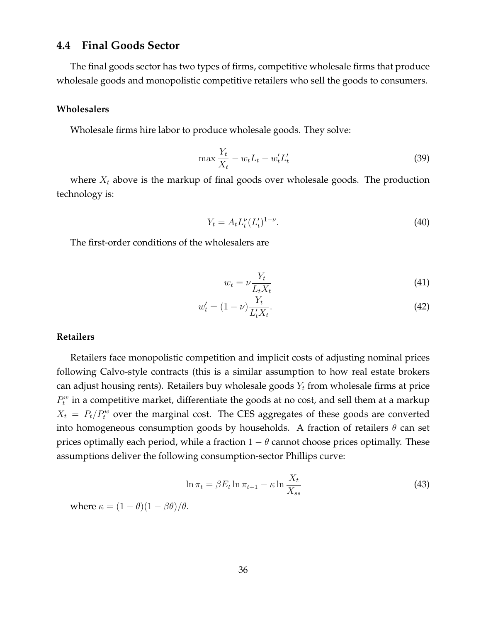## **4.4 Final Goods Sector**

The final goods sector has two types of firms, competitive wholesale firms that produce wholesale goods and monopolistic competitive retailers who sell the goods to consumers.

#### **Wholesalers**

Wholesale firms hire labor to produce wholesale goods. They solve:

$$
\max \frac{Y_t}{X_t} - w_t L_t - w'_t L'_t \tag{39}
$$

where  $X_t$  above is the markup of final goods over wholesale goods. The production technology is:

$$
Y_t = A_t L_t^{\nu} (L_t')^{1-\nu}.
$$
\n(40)

The first-order conditions of the wholesalers are

$$
w_t = \nu \frac{Y_t}{L_t X_t} \tag{41}
$$

$$
w_t' = (1 - \nu) \frac{Y_t}{L_t' X_t}.
$$
\n(42)

#### **Retailers**

Retailers face monopolistic competition and implicit costs of adjusting nominal prices following Calvo-style contracts (this is a similar assumption to how real estate brokers can adjust housing rents). Retailers buy wholesale goods  $Y_t$  from wholesale firms at price  $P_t^w$  in a competitive market, differentiate the goods at no cost, and sell them at a markup  $X_t$  =  $P_t/P_t^w$  over the marginal cost. The CES aggregates of these goods are converted into homogeneous consumption goods by households. A fraction of retailers  $\theta$  can set prices optimally each period, while a fraction  $1 - \theta$  cannot choose prices optimally. These assumptions deliver the following consumption-sector Phillips curve:

$$
\ln \pi_t = \beta E_t \ln \pi_{t+1} - \kappa \ln \frac{X_t}{X_{ss}} \tag{43}
$$

where  $\kappa = (1 - \theta)(1 - \beta \theta)/\theta$ .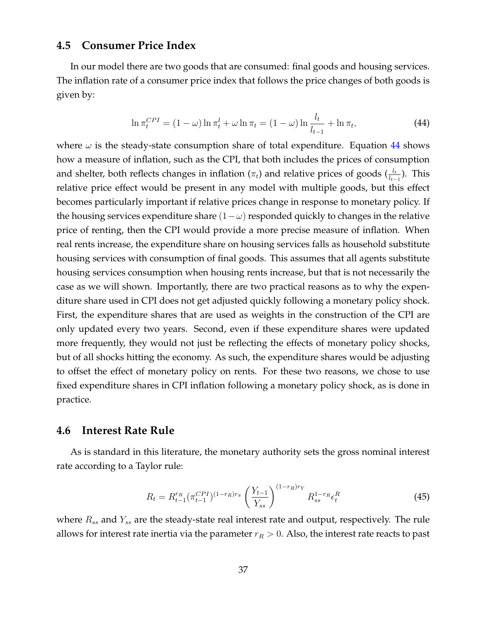## **4.5 Consumer Price Index**

In our model there are two goods that are consumed: final goods and housing services. The inflation rate of a consumer price index that follows the price changes of both goods is given by:

$$
\ln \pi_t^{CPI} = (1 - \omega) \ln \pi_t^l + \omega \ln \pi_t = (1 - \omega) \ln \frac{l_t}{l_{t-1}} + \ln \pi_t,
$$
\n(44)

where  $\omega$  is the steady-state consumption share of total expenditure. Equation 44 shows how a measure of inflation, such as the CPI, that both includes the prices of consumption and shelter, both reflects changes in inflation ( $\pi_t$ ) and relative prices of goods ( $\frac{l_t}{l_{t-1}}$ ). This relative price effect would be present in any model with multiple goods, but this effect becomes particularly important if relative prices change in response to monetary policy. If the housing services expenditure share  $(1-\omega)$  responded quickly to changes in the relative price of renting, then the CPI would provide a more precise measure of inflation. When real rents increase, the expenditure share on housing services falls as household substitute housing services with consumption of final goods. This assumes that all agents substitute housing services consumption when housing rents increase, but that is not necessarily the case as we will shown. Importantly, there are two practical reasons as to why the expenditure share used in CPI does not get adjusted quickly following a monetary policy shock. First, the expenditure shares that are used as weights in the construction of the CPI are only updated every two years. Second, even if these expenditure shares were updated more frequently, they would not just be reflecting the effects of monetary policy shocks, but of all shocks hitting the economy. As such, the expenditure shares would be adjusting to offset the effect of monetary policy on rents. For these two reasons, we chose to use fixed expenditure shares in CPI inflation following a monetary policy shock, as is done in practice.

### **4.6 Interest Rate Rule**

As is standard in this literature, the monetary authority sets the gross nominal interest rate according to a Taylor rule:

$$
R_t = R_{t-1}^{r_R} (\pi_{t-1}^{CPI})^{(1-r_R)r_{\pi}} \left(\frac{Y_{t-1}}{Y_{ss}}\right)^{(1-r_R)r_Y} R_{ss}^{1-r_R} \epsilon_t^R
$$
 (45)

where  $R_{ss}$  and  $Y_{ss}$  are the steady-state real interest rate and output, respectively. The rule allows for interest rate inertia via the parameter  $r_R > 0$ . Also, the interest rate reacts to past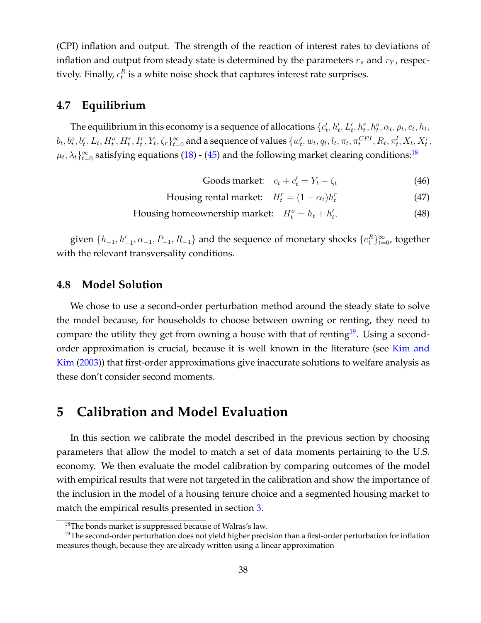(CPI) inflation and output. The strength of the reaction of interest rates to deviations of inflation and output from steady state is determined by the parameters  $r_{\pi}$  and  $r_{Y}$ , respectively. Finally,  $\epsilon^{R}_{t}$  is a white noise shock that captures interest rate surprises.

## **4.7 Equilibrium**

The equilibrium in this economy is a sequence of allocations  $\{c_t^{\prime}\}$  $t'_{t}, h'_{t}, L'_{t}, h^{r}_{t}, h^{o}_{t}, \alpha_{t}, \rho_{t}, c_{t}, h_{t},$  $b_t, b_t^o, b_t^r, L_t, H_t^o, H_t^r, I_t^r, Y_t, \zeta_r \}_{t=0}^{\infty}$  and a sequence of values  $\{w_t'$  $t'$ ,  $w_t$ ,  $q_t$ ,  $l_t$ ,  $\pi_t$ ,  $\pi_t^{CPI}$ ,  $R_t$ ,  $\pi_t^{l}$ ,  $X_t$ ,  $X_t^{r}$ ,  $\mu_t, \lambda_t \}_{t=0}^{\infty}$  satisfying equations (18) - (45) and the following market clearing conditions:<sup>18</sup>

- Goods market:  $c_t + c'_t = Y_t \zeta_t$  (46)
- Housing rental market:  $H_t^r = (1 \alpha_t)h_t^r$ (47)
- Housing homeownership market:  $H_t^o = h_t + h_t'$ t , (48)

given  $\{h_{-1}, h'_{-1}, \alpha_{-1}, P_{-1}, R_{-1}\}$  and the sequence of monetary shocks  $\{e_t^R\}_{t=0}^{\infty}$ , together with the relevant transversality conditions.

### **4.8 Model Solution**

We chose to use a second-order perturbation method around the steady state to solve the model because, for households to choose between owning or renting, they need to compare the utility they get from owning a house with that of renting<sup>19</sup>. Using a secondorder approximation is crucial, because it is well known in the literature (see Kim and Kim (2003)) that first-order approximations give inaccurate solutions to welfare analysis as these don't consider second moments.

# **5 Calibration and Model Evaluation**

In this section we calibrate the model described in the previous section by choosing parameters that allow the model to match a set of data moments pertaining to the U.S. economy. We then evaluate the model calibration by comparing outcomes of the model with empirical results that were not targeted in the calibration and show the importance of the inclusion in the model of a housing tenure choice and a segmented housing market to match the empirical results presented in section 3.

<sup>&</sup>lt;sup>18</sup>The bonds market is suppressed because of Walras's law.

<sup>&</sup>lt;sup>19</sup>The second-order perturbation does not yield higher precision than a first-order perturbation for inflation measures though, because they are already written using a linear approximation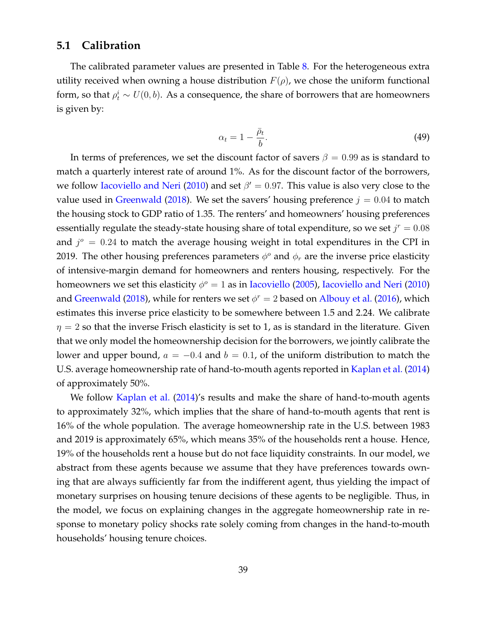## **5.1 Calibration**

The calibrated parameter values are presented in Table 8. For the heterogeneous extra utility received when owning a house distribution  $F(\rho)$ , we chose the uniform functional form, so that  $\rho_t^i \sim U(0, b)$ . As a consequence, the share of borrowers that are homeowners is given by:

$$
\alpha_t = 1 - \frac{\bar{\rho}_t}{b}.\tag{49}
$$

In terms of preferences, we set the discount factor of savers  $\beta = 0.99$  as is standard to match a quarterly interest rate of around 1%. As for the discount factor of the borrowers, we follow Iacoviello and Neri (2010) and set  $\beta' = 0.97$ . This value is also very close to the value used in Greenwald (2018). We set the savers' housing preference  $j = 0.04$  to match the housing stock to GDP ratio of 1.35. The renters' and homeowners' housing preferences essentially regulate the steady-state housing share of total expenditure, so we set  $j^r = 0.08$ and  $j^{\circ} = 0.24$  to match the average housing weight in total expenditures in the CPI in 2019. The other housing preferences parameters  $\phi^o$  and  $\phi_r$  are the inverse price elasticity of intensive-margin demand for homeowners and renters housing, respectively. For the homeowners we set this elasticity  $\phi^o = 1$  as in Iacoviello (2005), Iacoviello and Neri (2010) and Greenwald (2018), while for renters we set  $\phi^r = 2$  based on Albouy et al. (2016), which estimates this inverse price elasticity to be somewhere between 1.5 and 2.24. We calibrate  $\eta = 2$  so that the inverse Frisch elasticity is set to 1, as is standard in the literature. Given that we only model the homeownership decision for the borrowers, we jointly calibrate the lower and upper bound,  $a = -0.4$  and  $b = 0.1$ , of the uniform distribution to match the U.S. average homeownership rate of hand-to-mouth agents reported in Kaplan et al. (2014) of approximately 50%.

We follow Kaplan et al. (2014)'s results and make the share of hand-to-mouth agents to approximately 32%, which implies that the share of hand-to-mouth agents that rent is 16% of the whole population. The average homeownership rate in the U.S. between 1983 and 2019 is approximately 65%, which means 35% of the households rent a house. Hence, 19% of the households rent a house but do not face liquidity constraints. In our model, we abstract from these agents because we assume that they have preferences towards owning that are always sufficiently far from the indifferent agent, thus yielding the impact of monetary surprises on housing tenure decisions of these agents to be negligible. Thus, in the model, we focus on explaining changes in the aggregate homeownership rate in response to monetary policy shocks rate solely coming from changes in the hand-to-mouth households' housing tenure choices.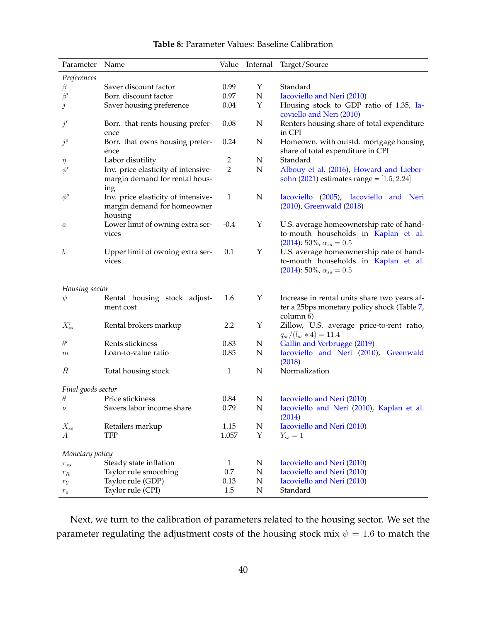| Parameter          | Name                                                                          | Value        | Internal    | Target/Source                                                                                                           |
|--------------------|-------------------------------------------------------------------------------|--------------|-------------|-------------------------------------------------------------------------------------------------------------------------|
| Preferences        |                                                                               |              |             |                                                                                                                         |
| β                  | Saver discount factor                                                         | 0.99         | Υ           | Standard                                                                                                                |
| $\beta'$           | Borr. discount factor                                                         | 0.97         | ${\bf N}$   | Iacoviello and Neri (2010)                                                                                              |
| $\dot{j}$          | Saver housing preference                                                      | 0.04         | Υ           | Housing stock to GDP ratio of 1.35, Ia-<br>coviello and Neri (2010)                                                     |
| $j^r$              | Borr. that rents housing prefer-<br>ence                                      | 0.08         | $\mathbf N$ | Renters housing share of total expenditure<br>in CPI                                                                    |
| $j^{\circ}$        | Borr. that owns housing prefer-<br>ence                                       | 0.24         | $\mathbf N$ | Homeown. with outstd. mortgage housing<br>share of total expenditure in CPI                                             |
| $\eta$             | Labor disutility                                                              | 2            | N           | Standard                                                                                                                |
| $\phi^{r}$         | Inv. price elasticity of intensive-<br>margin demand for rental hous-<br>ing  | 2            | $\mathbf N$ | Albouy et al. (2016), Howard and Lieber-<br>sohn (2021) estimates range = $[1.5, 2.24]$                                 |
| $\phi^o$           | Inv. price elasticity of intensive-<br>margin demand for homeowner<br>housing | 1            | N           | Iacoviello (2005), Iacoviello and Neri<br>(2010), Greenwald (2018)                                                      |
| $\boldsymbol{a}$   | Lower limit of owning extra ser-<br>vices                                     | $-0.4$       | Υ           | U.S. average homeownership rate of hand-<br>to-mouth households in Kaplan et al.<br>$(2014)$ : 50%, $\alpha_{ss} = 0.5$ |
| $\boldsymbol{b}$   | Upper limit of owning extra ser-<br>vices                                     | 0.1          | Υ           | U.S. average homeownership rate of hand-<br>to-mouth households in Kaplan et al.<br>$(2014)$ : 50%, $\alpha_{ss} = 0.5$ |
| Housing sector     |                                                                               |              |             |                                                                                                                         |
| $\psi$             | Rental housing stock adjust-<br>ment cost                                     | 1.6          | Υ           | Increase in rental units share two years af-<br>ter a 25bps monetary policy shock (Table 7,<br>column 6)                |
| $X_{ss}^r$         | Rental brokers markup                                                         | 2.2          | Υ           | Zillow, U.S. average price-to-rent ratio,<br>$q_{ss}/(l_{ss} \times 4) = 11.4$                                          |
| $\theta^r$         | Rents stickiness                                                              | 0.83         | N           | Gallin and Verbrugge (2019)                                                                                             |
| $\,m$              | Loan-to-value ratio                                                           | 0.85         | N           | Iacoviello and Neri (2010), Greenwald<br>(2018)                                                                         |
| $\bar{H}$          | Total housing stock                                                           | 1            | N           | Normalization                                                                                                           |
| Final goods sector |                                                                               |              |             |                                                                                                                         |
| $\theta$           | Price stickiness                                                              | 0.84         | N           | Iacoviello and Neri (2010)                                                                                              |
| $\nu$              | Savers labor income share                                                     | 0.79         | N           | Iacoviello and Neri (2010), Kaplan et al.<br>(2014)                                                                     |
| $X_{ss}$           | Retailers markup                                                              | 1.15         | $\mathbf N$ | Iacoviello and Neri (2010)                                                                                              |
| А                  | <b>TFP</b>                                                                    | 1.057        | Y           | $Y_{ss}=1$                                                                                                              |
| Monetary policy    |                                                                               |              |             |                                                                                                                         |
| $\pi_{ss}$         | Steady state inflation                                                        | $\mathbf{1}$ | $\mathbf N$ | Iacoviello and Neri (2010)                                                                                              |
| $r_R$              | Taylor rule smoothing                                                         | 0.7          | ${\bf N}$   | Iacoviello and Neri (2010)                                                                                              |
| $r_{\rm Y}$        | Taylor rule (GDP)                                                             | 0.13         | N           | Iacoviello and Neri (2010)                                                                                              |
| $r_\pi$            | Taylor rule (CPI)                                                             | 1.5          | N           | Standard                                                                                                                |

#### **Table 8:** Parameter Values: Baseline Calibration

Next, we turn to the calibration of parameters related to the housing sector. We set the parameter regulating the adjustment costs of the housing stock mix  $\psi = 1.6$  to match the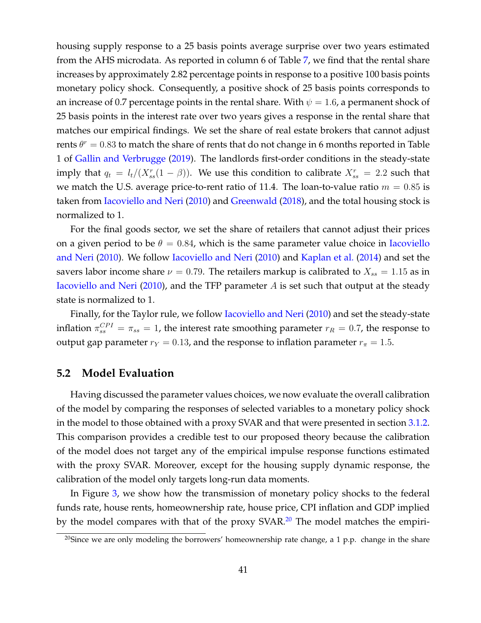housing supply response to a 25 basis points average surprise over two years estimated from the AHS microdata. As reported in column 6 of Table 7, we find that the rental share increases by approximately 2.82 percentage points in response to a positive 100 basis points monetary policy shock. Consequently, a positive shock of 25 basis points corresponds to an increase of 0.7 percentage points in the rental share. With  $\psi = 1.6$ , a permanent shock of 25 basis points in the interest rate over two years gives a response in the rental share that matches our empirical findings. We set the share of real estate brokers that cannot adjust rents  $\theta^r = 0.83$  to match the share of rents that do not change in 6 months reported in Table 1 of Gallin and Verbrugge (2019). The landlords first-order conditions in the steady-state imply that  $q_t = l_t/(X_{ss}^r(1-\beta))$ . We use this condition to calibrate  $X_{ss}^r = 2.2$  such that we match the U.S. average price-to-rent ratio of 11.4. The loan-to-value ratio  $m = 0.85$  is taken from Iacoviello and Neri (2010) and Greenwald (2018), and the total housing stock is normalized to 1.

For the final goods sector, we set the share of retailers that cannot adjust their prices on a given period to be  $\theta = 0.84$ , which is the same parameter value choice in Iacoviello and Neri (2010). We follow Iacoviello and Neri (2010) and Kaplan et al. (2014) and set the savers labor income share  $\nu = 0.79$ . The retailers markup is calibrated to  $X_{ss} = 1.15$  as in Iacoviello and Neri (2010), and the TFP parameter  $A$  is set such that output at the steady state is normalized to 1.

Finally, for the Taylor rule, we follow *Iacoviello and Neri (2010)* and set the steady-state inflation  $\pi_{ss}^{CPI} = \pi_{ss} = 1$ , the interest rate smoothing parameter  $r_R = 0.7$ , the response to output gap parameter  $r_Y = 0.13$ , and the response to inflation parameter  $r_\pi = 1.5$ .

## **5.2 Model Evaluation**

Having discussed the parameter values choices, we now evaluate the overall calibration of the model by comparing the responses of selected variables to a monetary policy shock in the model to those obtained with a proxy SVAR and that were presented in section 3.1.2. This comparison provides a credible test to our proposed theory because the calibration of the model does not target any of the empirical impulse response functions estimated with the proxy SVAR. Moreover, except for the housing supply dynamic response, the calibration of the model only targets long-run data moments.

In Figure 3, we show how the transmission of monetary policy shocks to the federal funds rate, house rents, homeownership rate, house price, CPI inflation and GDP implied by the model compares with that of the proxy SVAR.<sup>20</sup> The model matches the empiri-

<sup>&</sup>lt;sup>20</sup>Since we are only modeling the borrowers' homeownership rate change, a 1 p.p. change in the share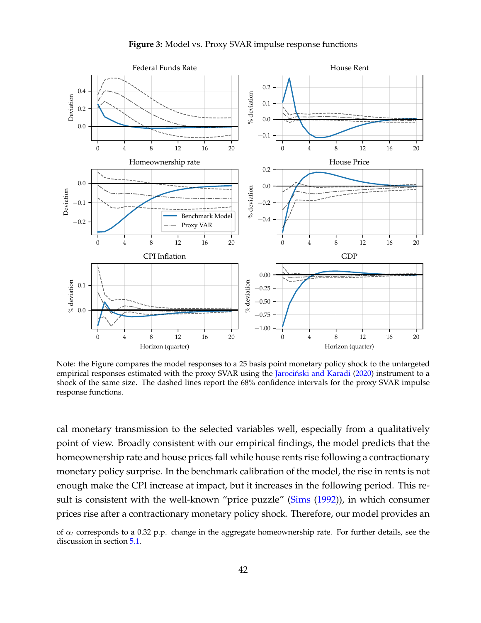



Note: the Figure compares the model responses to a 25 basis point monetary policy shock to the untargeted empirical responses estimated with the proxy SVAR using the Jarociński and Karadi (2020) instrument to a shock of the same size. The dashed lines report the 68% confidence intervals for the proxy SVAR impulse response functions.

cal monetary transmission to the selected variables well, especially from a qualitatively point of view. Broadly consistent with our empirical findings, the model predicts that the homeownership rate and house prices fall while house rents rise following a contractionary monetary policy surprise. In the benchmark calibration of the model, the rise in rents is not enough make the CPI increase at impact, but it increases in the following period. This result is consistent with the well-known "price puzzle" (Sims (1992)), in which consumer prices rise after a contractionary monetary policy shock. Therefore, our model provides an

of  $\alpha_t$  corresponds to a 0.32 p.p. change in the aggregate homeownership rate. For further details, see the discussion in section 5.1.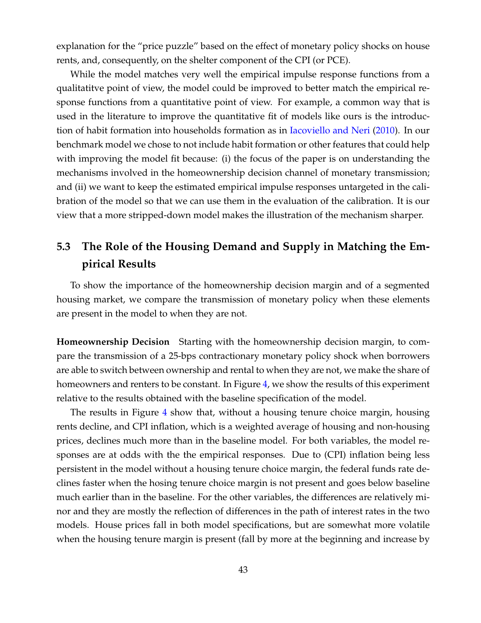explanation for the "price puzzle" based on the effect of monetary policy shocks on house rents, and, consequently, on the shelter component of the CPI (or PCE).

While the model matches very well the empirical impulse response functions from a qualitatitve point of view, the model could be improved to better match the empirical response functions from a quantitative point of view. For example, a common way that is used in the literature to improve the quantitative fit of models like ours is the introduction of habit formation into households formation as in Iacoviello and Neri (2010). In our benchmark model we chose to not include habit formation or other features that could help with improving the model fit because: (i) the focus of the paper is on understanding the mechanisms involved in the homeownership decision channel of monetary transmission; and (ii) we want to keep the estimated empirical impulse responses untargeted in the calibration of the model so that we can use them in the evaluation of the calibration. It is our view that a more stripped-down model makes the illustration of the mechanism sharper.

# **5.3 The Role of the Housing Demand and Supply in Matching the Empirical Results**

To show the importance of the homeownership decision margin and of a segmented housing market, we compare the transmission of monetary policy when these elements are present in the model to when they are not.

**Homeownership Decision** Starting with the homeownership decision margin, to compare the transmission of a 25-bps contractionary monetary policy shock when borrowers are able to switch between ownership and rental to when they are not, we make the share of homeowners and renters to be constant. In Figure 4, we show the results of this experiment relative to the results obtained with the baseline specification of the model.

The results in Figure 4 show that, without a housing tenure choice margin, housing rents decline, and CPI inflation, which is a weighted average of housing and non-housing prices, declines much more than in the baseline model. For both variables, the model responses are at odds with the the empirical responses. Due to (CPI) inflation being less persistent in the model without a housing tenure choice margin, the federal funds rate declines faster when the hosing tenure choice margin is not present and goes below baseline much earlier than in the baseline. For the other variables, the differences are relatively minor and they are mostly the reflection of differences in the path of interest rates in the two models. House prices fall in both model specifications, but are somewhat more volatile when the housing tenure margin is present (fall by more at the beginning and increase by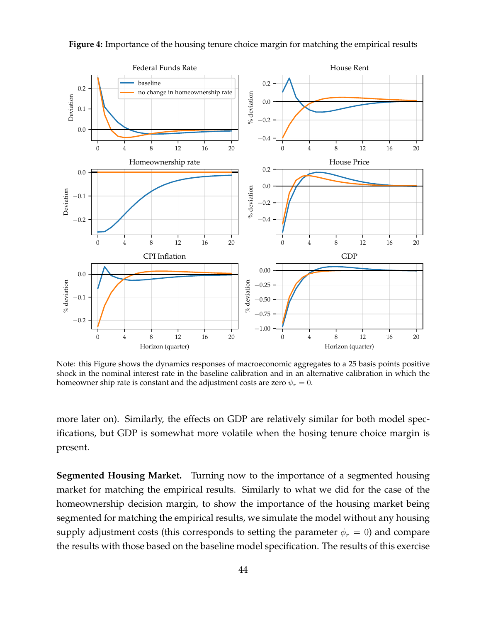

**Figure 4:** Importance of the housing tenure choice margin for matching the empirical results

Note: this Figure shows the dynamics responses of macroeconomic aggregates to a 25 basis points positive shock in the nominal interest rate in the baseline calibration and in an alternative calibration in which the homeowner ship rate is constant and the adjustment costs are zero  $\psi_r = 0$ .

more later on). Similarly, the effects on GDP are relatively similar for both model specifications, but GDP is somewhat more volatile when the hosing tenure choice margin is present.

**Segmented Housing Market.** Turning now to the importance of a segmented housing market for matching the empirical results. Similarly to what we did for the case of the homeownership decision margin, to show the importance of the housing market being segmented for matching the empirical results, we simulate the model without any housing supply adjustment costs (this corresponds to setting the parameter  $\phi_r = 0$ ) and compare the results with those based on the baseline model specification. The results of this exercise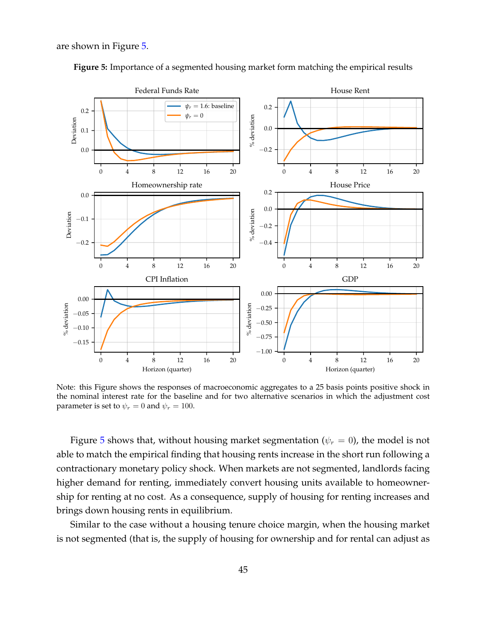are shown in Figure 5.



**Figure 5:** Importance of a segmented housing market form matching the empirical results

Note: this Figure shows the responses of macroeconomic aggregates to a 25 basis points positive shock in the nominal interest rate for the baseline and for two alternative scenarios in which the adjustment cost parameter is set to  $\psi_r = 0$  and  $\psi_r = 100$ .

Figure 5 shows that, without housing market segmentation ( $\psi_r = 0$ ), the model is not able to match the empirical finding that housing rents increase in the short run following a contractionary monetary policy shock. When markets are not segmented, landlords facing higher demand for renting, immediately convert housing units available to homeownership for renting at no cost. As a consequence, supply of housing for renting increases and brings down housing rents in equilibrium.

Similar to the case without a housing tenure choice margin, when the housing market is not segmented (that is, the supply of housing for ownership and for rental can adjust as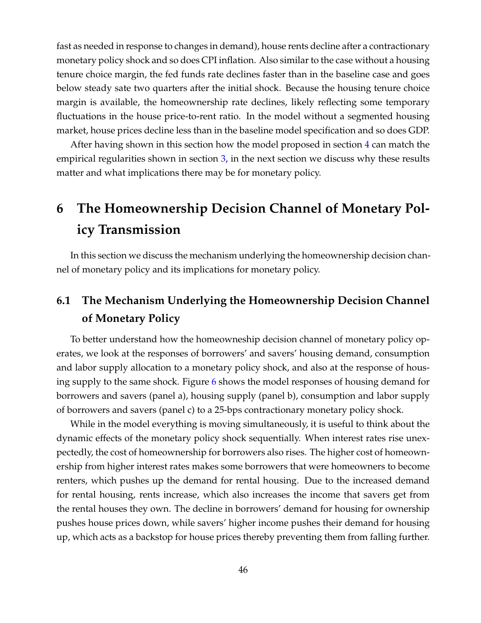fast as needed in response to changes in demand), house rents decline after a contractionary monetary policy shock and so does CPI inflation. Also similar to the case without a housing tenure choice margin, the fed funds rate declines faster than in the baseline case and goes below steady sate two quarters after the initial shock. Because the housing tenure choice margin is available, the homeownership rate declines, likely reflecting some temporary fluctuations in the house price-to-rent ratio. In the model without a segmented housing market, house prices decline less than in the baseline model specification and so does GDP.

After having shown in this section how the model proposed in section 4 can match the empirical regularities shown in section 3, in the next section we discuss why these results matter and what implications there may be for monetary policy.

# **6 The Homeownership Decision Channel of Monetary Policy Transmission**

In this section we discuss the mechanism underlying the homeownership decision channel of monetary policy and its implications for monetary policy.

# **6.1 The Mechanism Underlying the Homeownership Decision Channel of Monetary Policy**

To better understand how the homeowneship decision channel of monetary policy operates, we look at the responses of borrowers' and savers' housing demand, consumption and labor supply allocation to a monetary policy shock, and also at the response of housing supply to the same shock. Figure 6 shows the model responses of housing demand for borrowers and savers (panel a), housing supply (panel b), consumption and labor supply of borrowers and savers (panel c) to a 25-bps contractionary monetary policy shock.

While in the model everything is moving simultaneously, it is useful to think about the dynamic effects of the monetary policy shock sequentially. When interest rates rise unexpectedly, the cost of homeownership for borrowers also rises. The higher cost of homeownership from higher interest rates makes some borrowers that were homeowners to become renters, which pushes up the demand for rental housing. Due to the increased demand for rental housing, rents increase, which also increases the income that savers get from the rental houses they own. The decline in borrowers' demand for housing for ownership pushes house prices down, while savers' higher income pushes their demand for housing up, which acts as a backstop for house prices thereby preventing them from falling further.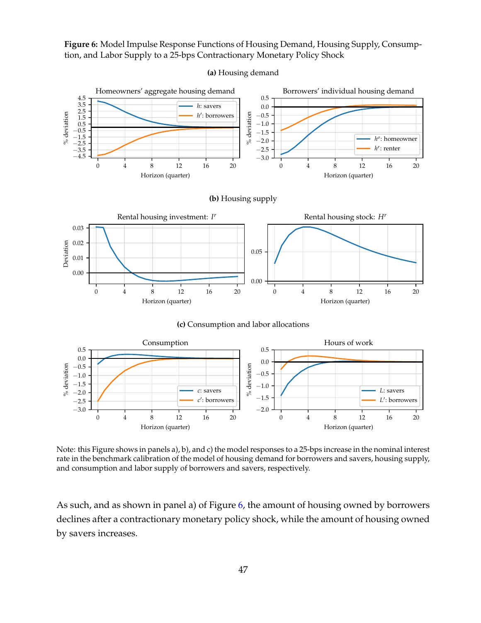**Figure 6:** Model Impulse Response Functions of Housing Demand, Housing Supply, Consumption, and Labor Supply to a 25-bps Contractionary Monetary Policy Shock



**(a)** Housing demand

Note: this Figure shows in panels a), b), and c) the model responses to a 25-bps increase in the nominal interest rate in the benchmark calibration of the model of housing demand for borrowers and savers, housing supply, and consumption and labor supply of borrowers and savers, respectively.

Horizon (quarter)

Horizon (quarter)

As such, and as shown in panel a) of Figure 6, the amount of housing owned by borrowers declines after a contractionary monetary policy shock, while the amount of housing owned by savers increases.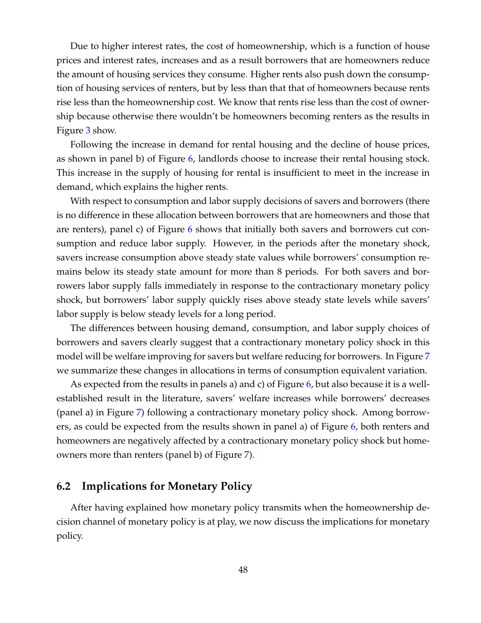Due to higher interest rates, the cost of homeownership, which is a function of house prices and interest rates, increases and as a result borrowers that are homeowners reduce the amount of housing services they consume. Higher rents also push down the consumption of housing services of renters, but by less than that that of homeowners because rents rise less than the homeownership cost. We know that rents rise less than the cost of ownership because otherwise there wouldn't be homeowners becoming renters as the results in Figure 3 show.

Following the increase in demand for rental housing and the decline of house prices, as shown in panel b) of Figure 6, landlords choose to increase their rental housing stock. This increase in the supply of housing for rental is insufficient to meet in the increase in demand, which explains the higher rents.

With respect to consumption and labor supply decisions of savers and borrowers (there is no difference in these allocation between borrowers that are homeowners and those that are renters), panel c) of Figure 6 shows that initially both savers and borrowers cut consumption and reduce labor supply. However, in the periods after the monetary shock, savers increase consumption above steady state values while borrowers' consumption remains below its steady state amount for more than 8 periods. For both savers and borrowers labor supply falls immediately in response to the contractionary monetary policy shock, but borrowers' labor supply quickly rises above steady state levels while savers' labor supply is below steady levels for a long period.

The differences between housing demand, consumption, and labor supply choices of borrowers and savers clearly suggest that a contractionary monetary policy shock in this model will be welfare improving for savers but welfare reducing for borrowers. In Figure 7 we summarize these changes in allocations in terms of consumption equivalent variation.

As expected from the results in panels a) and c) of Figure 6, but also because it is a wellestablished result in the literature, savers' welfare increases while borrowers' decreases (panel a) in Figure 7) following a contractionary monetary policy shock. Among borrowers, as could be expected from the results shown in panel a) of Figure 6, both renters and homeowners are negatively affected by a contractionary monetary policy shock but homeowners more than renters (panel b) of Figure 7).

## **6.2 Implications for Monetary Policy**

After having explained how monetary policy transmits when the homeownership decision channel of monetary policy is at play, we now discuss the implications for monetary policy.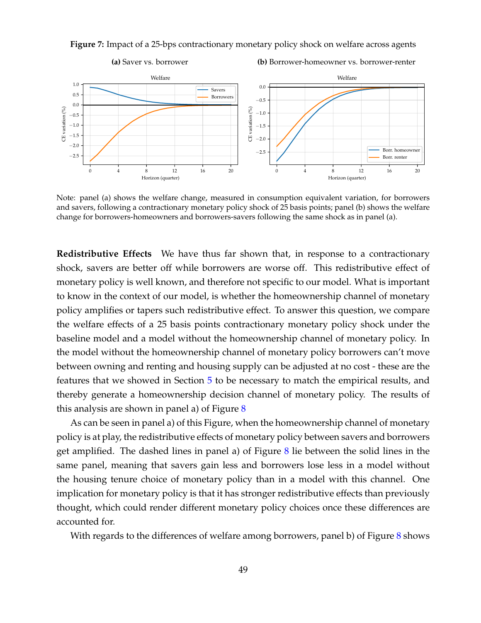**Figure 7:** Impact of a 25-bps contractionary monetary policy shock on welfare across agents



Note: panel (a) shows the welfare change, measured in consumption equivalent variation, for borrowers and savers, following a contractionary monetary policy shock of 25 basis points; panel (b) shows the welfare change for borrowers-homeowners and borrowers-savers following the same shock as in panel (a).

**Redistributive Effects** We have thus far shown that, in response to a contractionary shock, savers are better off while borrowers are worse off. This redistributive effect of monetary policy is well known, and therefore not specific to our model. What is important to know in the context of our model, is whether the homeownership channel of monetary policy amplifies or tapers such redistributive effect. To answer this question, we compare the welfare effects of a 25 basis points contractionary monetary policy shock under the baseline model and a model without the homeownership channel of monetary policy. In the model without the homeownership channel of monetary policy borrowers can't move between owning and renting and housing supply can be adjusted at no cost - these are the features that we showed in Section 5 to be necessary to match the empirical results, and thereby generate a homeownership decision channel of monetary policy. The results of this analysis are shown in panel a) of Figure  $8$ 

As can be seen in panel a) of this Figure, when the homeownership channel of monetary policy is at play, the redistributive effects of monetary policy between savers and borrowers get amplified. The dashed lines in panel a) of Figure 8 lie between the solid lines in the same panel, meaning that savers gain less and borrowers lose less in a model without the housing tenure choice of monetary policy than in a model with this channel. One implication for monetary policy is that it has stronger redistributive effects than previously thought, which could render different monetary policy choices once these differences are accounted for.

With regards to the differences of welfare among borrowers, panel b) of Figure  $8$  shows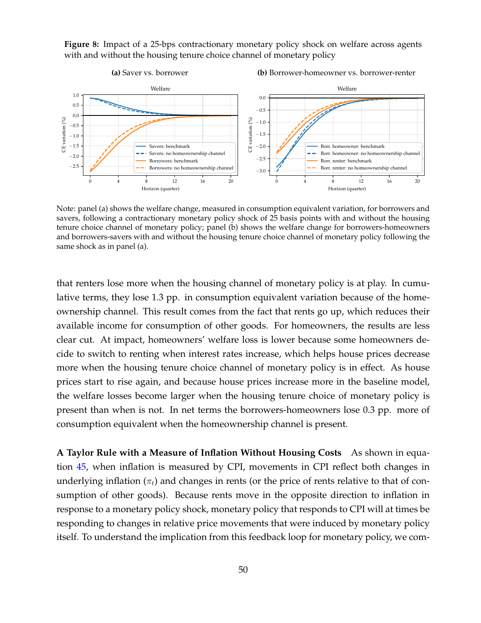

**Figure 8:** Impact of a 25-bps contractionary monetary policy shock on welfare across agents with and without the housing tenure choice channel of monetary policy

Note: panel (a) shows the welfare change, measured in consumption equivalent variation, for borrowers and savers, following a contractionary monetary policy shock of 25 basis points with and without the housing tenure choice channel of monetary policy; panel (b) shows the welfare change for borrowers-homeowners and borrowers-savers with and without the housing tenure choice channel of monetary policy following the same shock as in panel (a).

0 4 8 12 16 20 Horizon (quarter)

0 4 8 12 16 20 Horizon (quarter)

that renters lose more when the housing channel of monetary policy is at play. In cumulative terms, they lose 1.3 pp. in consumption equivalent variation because of the homeownership channel. This result comes from the fact that rents go up, which reduces their available income for consumption of other goods. For homeowners, the results are less clear cut. At impact, homeowners' welfare loss is lower because some homeowners decide to switch to renting when interest rates increase, which helps house prices decrease more when the housing tenure choice channel of monetary policy is in effect. As house prices start to rise again, and because house prices increase more in the baseline model, the welfare losses become larger when the housing tenure choice of monetary policy is present than when is not. In net terms the borrowers-homeowners lose 0.3 pp. more of consumption equivalent when the homeownership channel is present.

**A Taylor Rule with a Measure of Inflation Without Housing Costs** As shown in equation 45, when inflation is measured by CPI, movements in CPI reflect both changes in underlying inflation  $(\pi_t)$  and changes in rents (or the price of rents relative to that of consumption of other goods). Because rents move in the opposite direction to inflation in response to a monetary policy shock, monetary policy that responds to CPI will at times be responding to changes in relative price movements that were induced by monetary policy itself. To understand the implication from this feedback loop for monetary policy, we com-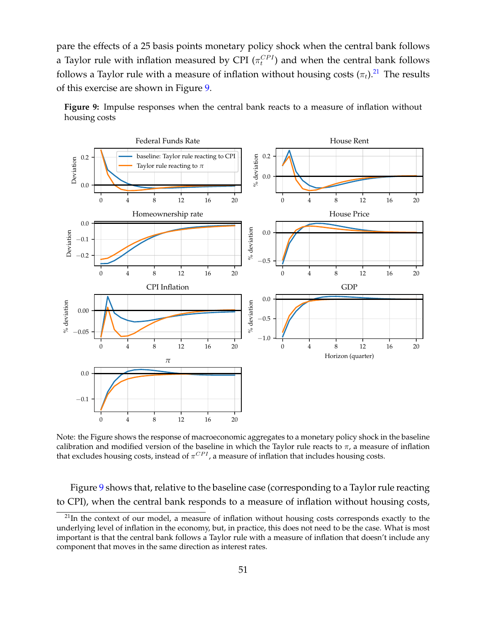pare the effects of a 25 basis points monetary policy shock when the central bank follows a Taylor rule with inflation measured by CPI ( $\pi_t^{CPI}$ ) and when the central bank follows follows a Taylor rule with a measure of inflation without housing costs  $(\pi_t)$ .<sup>21</sup> The results of this exercise are shown in Figure 9.



**Figure 9:** Impulse responses when the central bank reacts to a measure of inflation without housing costs

Note: the Figure shows the response of macroeconomic aggregates to a monetary policy shock in the baseline calibration and modified version of the baseline in which the Taylor rule reacts to  $\pi$ , a measure of inflation that excludes housing costs, instead of  $\pi^{CPI}$ , a measure of inflation that includes housing costs.

Figure 9 shows that, relative to the baseline case (corresponding to a Taylor rule reacting to CPI), when the central bank responds to a measure of inflation without housing costs,

 $^{21}$ In the context of our model, a measure of inflation without housing costs corresponds exactly to the underlying level of inflation in the economy, but, in practice, this does not need to be the case. What is most important is that the central bank follows a Taylor rule with a measure of inflation that doesn't include any component that moves in the same direction as interest rates.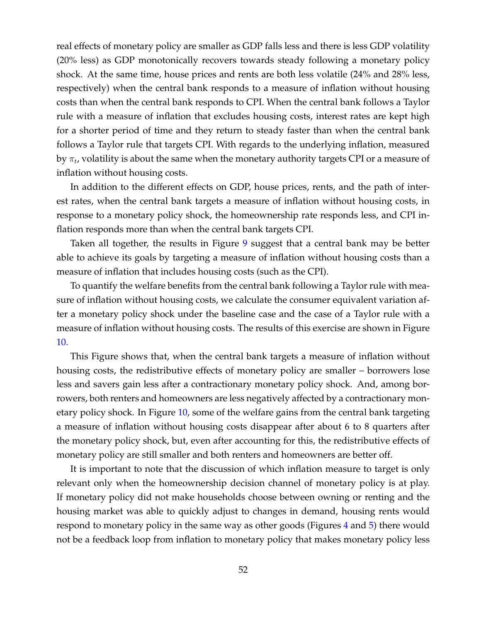real effects of monetary policy are smaller as GDP falls less and there is less GDP volatility (20% less) as GDP monotonically recovers towards steady following a monetary policy shock. At the same time, house prices and rents are both less volatile (24% and 28% less, respectively) when the central bank responds to a measure of inflation without housing costs than when the central bank responds to CPI. When the central bank follows a Taylor rule with a measure of inflation that excludes housing costs, interest rates are kept high for a shorter period of time and they return to steady faster than when the central bank follows a Taylor rule that targets CPI. With regards to the underlying inflation, measured by  $\pi_t$ , volatility is about the same when the monetary authority targets CPI or a measure of inflation without housing costs.

In addition to the different effects on GDP, house prices, rents, and the path of interest rates, when the central bank targets a measure of inflation without housing costs, in response to a monetary policy shock, the homeownership rate responds less, and CPI inflation responds more than when the central bank targets CPI.

Taken all together, the results in Figure 9 suggest that a central bank may be better able to achieve its goals by targeting a measure of inflation without housing costs than a measure of inflation that includes housing costs (such as the CPI).

To quantify the welfare benefits from the central bank following a Taylor rule with measure of inflation without housing costs, we calculate the consumer equivalent variation after a monetary policy shock under the baseline case and the case of a Taylor rule with a measure of inflation without housing costs. The results of this exercise are shown in Figure 10.

This Figure shows that, when the central bank targets a measure of inflation without housing costs, the redistributive effects of monetary policy are smaller – borrowers lose less and savers gain less after a contractionary monetary policy shock. And, among borrowers, both renters and homeowners are less negatively affected by a contractionary monetary policy shock. In Figure 10, some of the welfare gains from the central bank targeting a measure of inflation without housing costs disappear after about 6 to 8 quarters after the monetary policy shock, but, even after accounting for this, the redistributive effects of monetary policy are still smaller and both renters and homeowners are better off.

It is important to note that the discussion of which inflation measure to target is only relevant only when the homeownership decision channel of monetary policy is at play. If monetary policy did not make households choose between owning or renting and the housing market was able to quickly adjust to changes in demand, housing rents would respond to monetary policy in the same way as other goods (Figures 4 and 5) there would not be a feedback loop from inflation to monetary policy that makes monetary policy less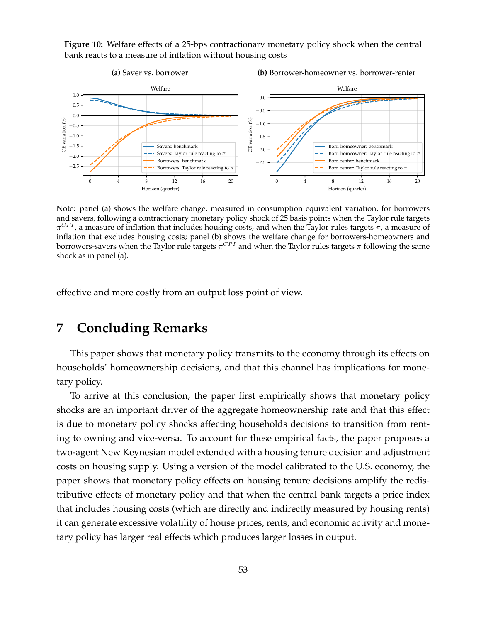**Figure 10:** Welfare effects of a 25-bps contractionary monetary policy shock when the central bank reacts to a measure of inflation without housing costs



Note: panel (a) shows the welfare change, measured in consumption equivalent variation, for borrowers and savers, following a contractionary monetary policy shock of 25 basis points when the Taylor rule targets  $\pi^{CPI}$ , a measure of inflation that includes housing costs, and when the Taylor rules targets  $\pi$ , a measure of inflation that excludes housing costs; panel (b) shows the welfare change for borrowers-homeowners and borrowers-savers when the Taylor rule targets  $\pi^{CPI}$  and when the Taylor rules targets  $\pi$  following the same shock as in panel (a).

effective and more costly from an output loss point of view.

# **7 Concluding Remarks**

This paper shows that monetary policy transmits to the economy through its effects on households' homeownership decisions, and that this channel has implications for monetary policy.

To arrive at this conclusion, the paper first empirically shows that monetary policy shocks are an important driver of the aggregate homeownership rate and that this effect is due to monetary policy shocks affecting households decisions to transition from renting to owning and vice-versa. To account for these empirical facts, the paper proposes a two-agent New Keynesian model extended with a housing tenure decision and adjustment costs on housing supply. Using a version of the model calibrated to the U.S. economy, the paper shows that monetary policy effects on housing tenure decisions amplify the redistributive effects of monetary policy and that when the central bank targets a price index that includes housing costs (which are directly and indirectly measured by housing rents) it can generate excessive volatility of house prices, rents, and economic activity and monetary policy has larger real effects which produces larger losses in output.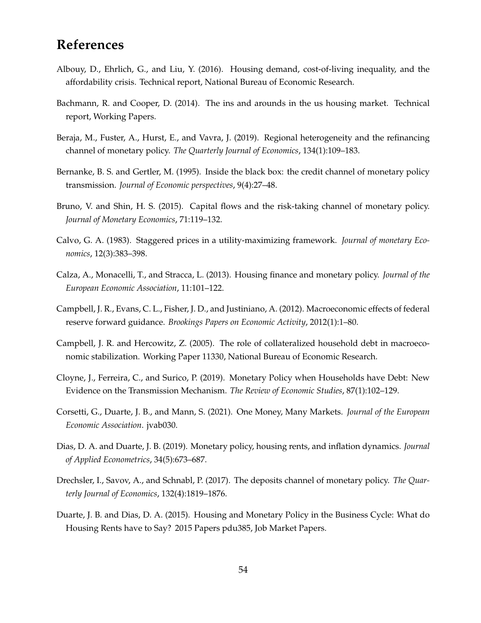# **References**

- Albouy, D., Ehrlich, G., and Liu, Y. (2016). Housing demand, cost-of-living inequality, and the affordability crisis. Technical report, National Bureau of Economic Research.
- Bachmann, R. and Cooper, D. (2014). The ins and arounds in the us housing market. Technical report, Working Papers.
- Beraja, M., Fuster, A., Hurst, E., and Vavra, J. (2019). Regional heterogeneity and the refinancing channel of monetary policy. *The Quarterly Journal of Economics*, 134(1):109–183.
- Bernanke, B. S. and Gertler, M. (1995). Inside the black box: the credit channel of monetary policy transmission. *Journal of Economic perspectives*, 9(4):27–48.
- Bruno, V. and Shin, H. S. (2015). Capital flows and the risk-taking channel of monetary policy. *Journal of Monetary Economics*, 71:119–132.
- Calvo, G. A. (1983). Staggered prices in a utility-maximizing framework. *Journal of monetary Economics*, 12(3):383–398.
- Calza, A., Monacelli, T., and Stracca, L. (2013). Housing finance and monetary policy. *Journal of the European Economic Association*, 11:101–122.
- Campbell, J. R., Evans, C. L., Fisher, J. D., and Justiniano, A. (2012). Macroeconomic effects of federal reserve forward guidance. *Brookings Papers on Economic Activity*, 2012(1):1–80.
- Campbell, J. R. and Hercowitz, Z. (2005). The role of collateralized household debt in macroeconomic stabilization. Working Paper 11330, National Bureau of Economic Research.
- Cloyne, J., Ferreira, C., and Surico, P. (2019). Monetary Policy when Households have Debt: New Evidence on the Transmission Mechanism. *The Review of Economic Studies*, 87(1):102–129.
- Corsetti, G., Duarte, J. B., and Mann, S. (2021). One Money, Many Markets. *Journal of the European Economic Association*. jvab030.
- Dias, D. A. and Duarte, J. B. (2019). Monetary policy, housing rents, and inflation dynamics. *Journal of Applied Econometrics*, 34(5):673–687.
- Drechsler, I., Savov, A., and Schnabl, P. (2017). The deposits channel of monetary policy. *The Quarterly Journal of Economics*, 132(4):1819–1876.
- Duarte, J. B. and Dias, D. A. (2015). Housing and Monetary Policy in the Business Cycle: What do Housing Rents have to Say? 2015 Papers pdu385, Job Market Papers.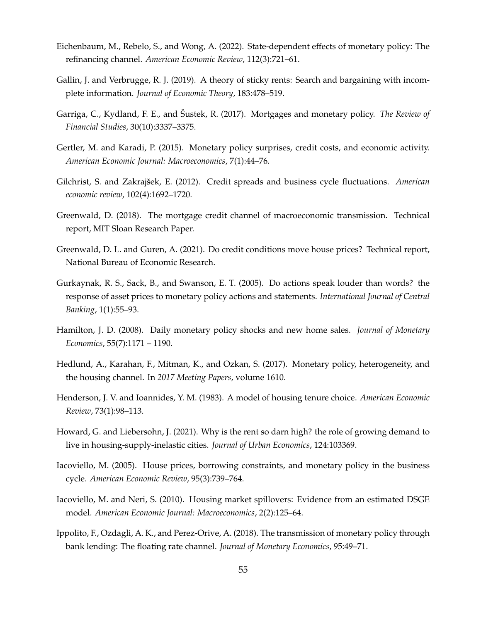- Eichenbaum, M., Rebelo, S., and Wong, A. (2022). State-dependent effects of monetary policy: The refinancing channel. *American Economic Review*, 112(3):721–61.
- Gallin, J. and Verbrugge, R. J. (2019). A theory of sticky rents: Search and bargaining with incomplete information. *Journal of Economic Theory*, 183:478–519.
- Garriga, C., Kydland, F. E., and Sustek, R. (2017). Mortgages and monetary policy. ˇ *The Review of Financial Studies*, 30(10):3337–3375.
- Gertler, M. and Karadi, P. (2015). Monetary policy surprises, credit costs, and economic activity. *American Economic Journal: Macroeconomics*, 7(1):44–76.
- Gilchrist, S. and Zakrajšek, E. (2012). Credit spreads and business cycle fluctuations. American *economic review*, 102(4):1692–1720.
- Greenwald, D. (2018). The mortgage credit channel of macroeconomic transmission. Technical report, MIT Sloan Research Paper.
- Greenwald, D. L. and Guren, A. (2021). Do credit conditions move house prices? Technical report, National Bureau of Economic Research.
- Gurkaynak, R. S., Sack, B., and Swanson, E. T. (2005). Do actions speak louder than words? the response of asset prices to monetary policy actions and statements. *International Journal of Central Banking*, 1(1):55–93.
- Hamilton, J. D. (2008). Daily monetary policy shocks and new home sales. *Journal of Monetary Economics*, 55(7):1171 – 1190.
- Hedlund, A., Karahan, F., Mitman, K., and Ozkan, S. (2017). Monetary policy, heterogeneity, and the housing channel. In *2017 Meeting Papers*, volume 1610.
- Henderson, J. V. and Ioannides, Y. M. (1983). A model of housing tenure choice. *American Economic Review*, 73(1):98–113.
- Howard, G. and Liebersohn, J. (2021). Why is the rent so darn high? the role of growing demand to live in housing-supply-inelastic cities. *Journal of Urban Economics*, 124:103369.
- Iacoviello, M. (2005). House prices, borrowing constraints, and monetary policy in the business cycle. *American Economic Review*, 95(3):739–764.
- Iacoviello, M. and Neri, S. (2010). Housing market spillovers: Evidence from an estimated DSGE model. *American Economic Journal: Macroeconomics*, 2(2):125–64.
- Ippolito, F., Ozdagli, A. K., and Perez-Orive, A. (2018). The transmission of monetary policy through bank lending: The floating rate channel. *Journal of Monetary Economics*, 95:49–71.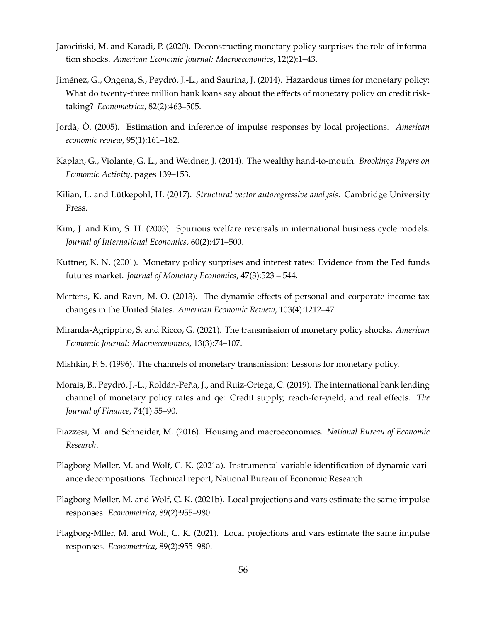- Jarociński, M. and Karadi, P. (2020). Deconstructing monetary policy surprises-the role of information shocks. *American Economic Journal: Macroeconomics*, 12(2):1–43.
- Jiménez, G., Ongena, S., Peydró, J.-L., and Saurina, J. (2014). Hazardous times for monetary policy: What do twenty-three million bank loans say about the effects of monetary policy on credit risktaking? *Econometrica*, 82(2):463–505.
- Jorda,` O. (2005). Estimation and inference of impulse responses by local projections. ` *American economic review*, 95(1):161–182.
- Kaplan, G., Violante, G. L., and Weidner, J. (2014). The wealthy hand-to-mouth. *Brookings Papers on Economic Activity*, pages 139–153.
- Kilian, L. and Lütkepohl, H. (2017). *Structural vector autoregressive analysis*. Cambridge University Press.
- Kim, J. and Kim, S. H. (2003). Spurious welfare reversals in international business cycle models. *Journal of International Economics*, 60(2):471–500.
- Kuttner, K. N. (2001). Monetary policy surprises and interest rates: Evidence from the Fed funds futures market. *Journal of Monetary Economics*, 47(3):523 – 544.
- Mertens, K. and Ravn, M. O. (2013). The dynamic effects of personal and corporate income tax changes in the United States. *American Economic Review*, 103(4):1212–47.
- Miranda-Agrippino, S. and Ricco, G. (2021). The transmission of monetary policy shocks. *American Economic Journal: Macroeconomics*, 13(3):74–107.
- Mishkin, F. S. (1996). The channels of monetary transmission: Lessons for monetary policy.
- Morais, B., Peydró, J.-L., Roldán-Peña, J., and Ruiz-Ortega, C. (2019). The international bank lending channel of monetary policy rates and qe: Credit supply, reach-for-yield, and real effects. *The Journal of Finance*, 74(1):55–90.
- Piazzesi, M. and Schneider, M. (2016). Housing and macroeconomics. *National Bureau of Economic Research*.
- Plagborg-Møller, M. and Wolf, C. K. (2021a). Instrumental variable identification of dynamic variance decompositions. Technical report, National Bureau of Economic Research.
- Plagborg-Møller, M. and Wolf, C. K. (2021b). Local projections and vars estimate the same impulse responses. *Econometrica*, 89(2):955–980.
- Plagborg-Mller, M. and Wolf, C. K. (2021). Local projections and vars estimate the same impulse responses. *Econometrica*, 89(2):955–980.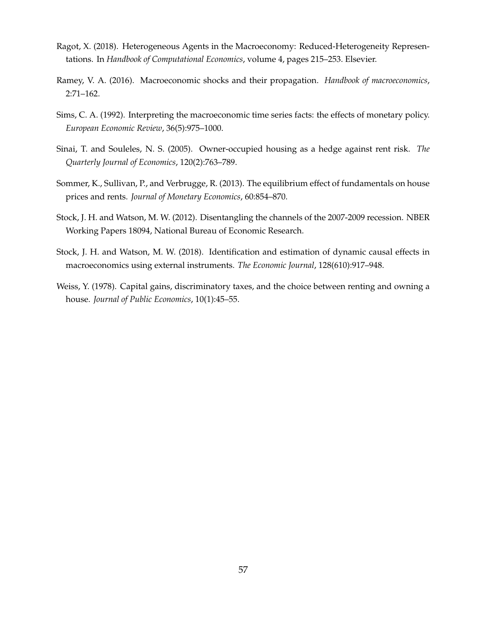- Ragot, X. (2018). Heterogeneous Agents in the Macroeconomy: Reduced-Heterogeneity Representations. In *Handbook of Computational Economics*, volume 4, pages 215–253. Elsevier.
- Ramey, V. A. (2016). Macroeconomic shocks and their propagation. *Handbook of macroeconomics*, 2:71–162.
- Sims, C. A. (1992). Interpreting the macroeconomic time series facts: the effects of monetary policy. *European Economic Review*, 36(5):975–1000.
- Sinai, T. and Souleles, N. S. (2005). Owner-occupied housing as a hedge against rent risk. *The Quarterly Journal of Economics*, 120(2):763–789.
- Sommer, K., Sullivan, P., and Verbrugge, R. (2013). The equilibrium effect of fundamentals on house prices and rents. *Journal of Monetary Economics*, 60:854–870.
- Stock, J. H. and Watson, M. W. (2012). Disentangling the channels of the 2007-2009 recession. NBER Working Papers 18094, National Bureau of Economic Research.
- Stock, J. H. and Watson, M. W. (2018). Identification and estimation of dynamic causal effects in macroeconomics using external instruments. *The Economic Journal*, 128(610):917–948.
- Weiss, Y. (1978). Capital gains, discriminatory taxes, and the choice between renting and owning a house. *Journal of Public Economics*, 10(1):45–55.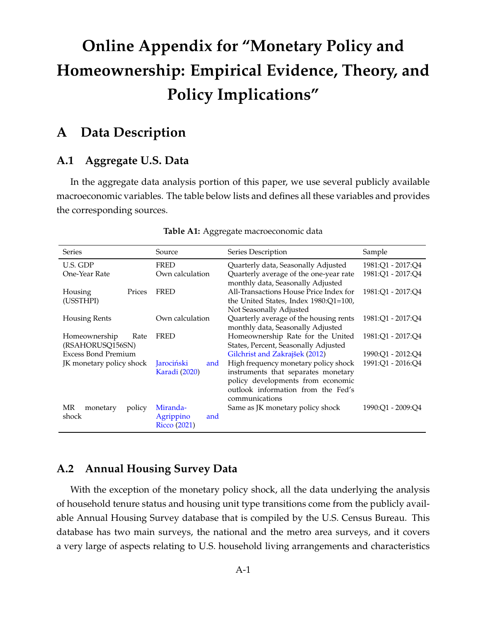# **Online Appendix for "Monetary Policy and Homeownership: Empirical Evidence, Theory, and Policy Implications"**

# **A Data Description**

## **A.1 Aggregate U.S. Data**

In the aggregate data analysis portion of this paper, we use several publicly available macroeconomic variables. The table below lists and defines all these variables and provides the corresponding sources.

| <b>Series</b>              | Source               | Series Description                                                          | Sample            |
|----------------------------|----------------------|-----------------------------------------------------------------------------|-------------------|
| U.S. GDP                   | <b>FRED</b>          | Quarterly data, Seasonally Adjusted                                         | 1981:O1 - 2017:O4 |
| One-Year Rate              | Own calculation      | Quarterly average of the one-year rate<br>monthly data, Seasonally Adjusted | 1981:O1 - 2017:O4 |
| Prices<br>Housing          | <b>FRED</b>          | All-Transactions House Price Index for                                      | 1981:01 - 2017:04 |
| (USSTHPI)                  |                      | the United States, Index $1980:Q1=100$ ,<br>Not Seasonally Adjusted         |                   |
| <b>Housing Rents</b>       | Own calculation      | Quarterly average of the housing rents                                      | 1981:01 - 2017:04 |
|                            |                      | monthly data, Seasonally Adjusted                                           |                   |
| Homeownership<br>Rate      | <b>FRED</b>          | Homeownership Rate for the United                                           | 1981:01 - 2017:04 |
| (RSAHORUSQ156SN)           |                      | States, Percent, Seasonally Adjusted                                        |                   |
| <b>Excess Bond Premium</b> |                      | Gilchrist and Zakrajšek (2012)                                              | 1990:Q1 - 2012:Q4 |
| JK monetary policy shock   | Jarociński<br>and    | High frequency monetary policy shock                                        | 1991:Q1 - 2016:Q4 |
|                            | <b>Karadi</b> (2020) | instruments that separates monetary                                         |                   |
|                            |                      | policy developments from economic                                           |                   |
|                            |                      | outlook information from the Fed's                                          |                   |
|                            |                      | communications                                                              |                   |
| MR<br>monetary<br>policy   | Miranda-             | Same as JK monetary policy shock                                            | 1990:O1 - 2009:O4 |
| shock                      | Agrippino<br>and     |                                                                             |                   |
|                            | <b>Ricco</b> (2021)  |                                                                             |                   |

#### **Table A1:** Aggregate macroeconomic data

## **A.2 Annual Housing Survey Data**

With the exception of the monetary policy shock, all the data underlying the analysis of household tenure status and housing unit type transitions come from the publicly available Annual Housing Survey database that is compiled by the U.S. Census Bureau. This database has two main surveys, the national and the metro area surveys, and it covers a very large of aspects relating to U.S. household living arrangements and characteristics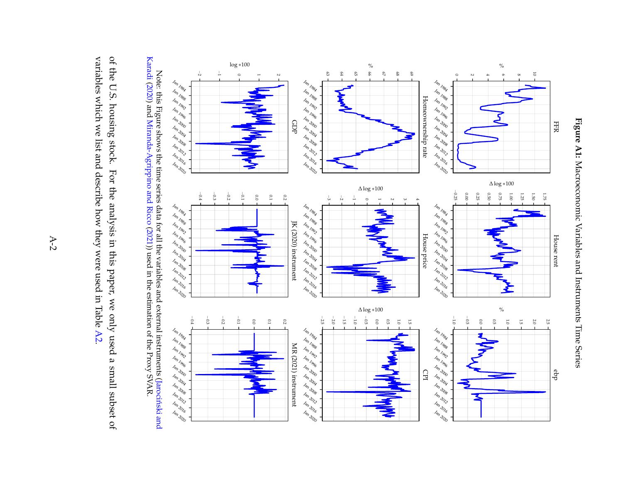



Note: this Figure shows the time series data for all the variables and external instruments (Jarocinski and ´ Karadi (2020) and Miranda-Agrippino and Ricco (2021)) used in the estimation of the Proxy SVAR.

of the U.S. housing stock. For the analysis in this paper, we only used a small subset of variables which we list and describe how they were used in Table A2. variables which we list and describe how they were used in Table of the U.S. housing stock. For the analysis in this paper, we only used a small subset of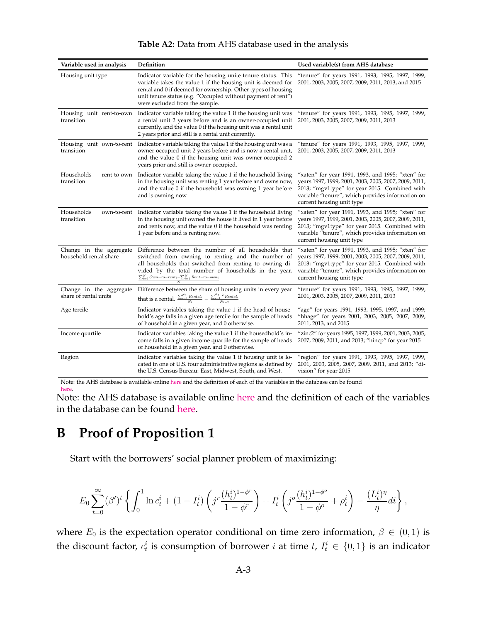| Variable used in analysis                         | Definition                                                                                                                                                                                                                                                                                                      | Used variable(s) from AHS database                                                                                                                                                                                                           |
|---------------------------------------------------|-----------------------------------------------------------------------------------------------------------------------------------------------------------------------------------------------------------------------------------------------------------------------------------------------------------------|----------------------------------------------------------------------------------------------------------------------------------------------------------------------------------------------------------------------------------------------|
| Housing unit type                                 | Indicator variable for the housing unite tenure status. This<br>variable takes the value 1 if the housing unit is deemed for<br>rental and 0 if deemed for ownership. Other types of housing<br>unit tenure status (e.g. "Occupied without payment of rent")<br>were excluded from the sample.                  | "tenure" for years 1991, 1993, 1995, 1997, 1999,<br>2001, 2003, 2005, 2007, 2009, 2011, 2013, and 2015                                                                                                                                       |
| Housing unit rent-to-own<br>transition            | Indicator variable taking the value 1 if the housing unit was<br>a rental unit 2 years before and is an owner-occupied unit<br>currently, and the value 0 if the housing unit was a rental unit<br>2 years prior and still is a rental unit currently.                                                          | "tenure" for years 1991, 1993, 1995, 1997, 1999,<br>2001, 2003, 2005, 2007, 2009, 2011, 2013                                                                                                                                                 |
| Housing unit own-to-rent<br>transition            | Indicator variable taking the value 1 if the housing unit was a<br>owner-occupied unit 2 years before and is now a rental unit,<br>and the value 0 if the housing unit was owner-occupied 2<br>years prior and still is owner-occupied.                                                                         | "tenure" for years 1991, 1993, 1995, 1997, 1999,<br>2001, 2003, 2005, 2007, 2009, 2011, 2013                                                                                                                                                 |
| Households<br>rent-to-own<br>transition           | Indicator variable taking the value 1 if the household living<br>in the housing unit was renting 1 year before and owns now,<br>and the value 0 if the household was owning 1 year before<br>and is owning now                                                                                                  | "xaten" for year 1991, 1993, and 1995; "xten" for<br>years 1997, 1999, 2001, 2003, 2005, 2007, 2009, 2011,<br>2013; "mgv1type" for year 2015. Combined with<br>variable "tenure", which provides information on<br>current housing unit type |
| Households<br>transition                          | own-to-rent Indicator variable taking the value 1 if the household living<br>in the housing unit owned the house it lived in 1 year before<br>and rents now, and the value 0 if the household was renting<br>1 year before and is renting now.                                                                  | "xaten" for year 1991, 1993, and 1995; "xten" for<br>years 1997, 1999, 2001, 2003, 2005, 2007, 2009, 2011,<br>2013; "mgv1type" for year 2015. Combined with<br>variable "tenure", which provides information on<br>current housing unit type |
| Change in the aggregate<br>household rental share | Difference between the number of all households that<br>switched from owning to renting and the number of<br>all households that switched from renting to owning di-<br>vided by the total number of households in the year.<br>$\frac{\sum_{i=1}^{N} Own - to - rent_i - \sum_{i=1}^{N} Rent - to - own_i}{N}$ | "xaten" for year 1991, 1993, and 1995; "xten" for<br>years 1997, 1999, 2001, 2003, 2005, 2007, 2009, 2011,<br>2013; "mgv1type" for year 2015. Combined with<br>variable "tenure", which provides information on<br>current housing unit type |
| Change in the aggregate<br>share of rental units  | Difference between the share of housing units in every year<br>that is a rental. $\frac{\sum_{i=1}^{N_t}Rental_i}{N_t}-\frac{\sum_{i=1}^{N_{t-2}}Rental_i}{N_{t-2}}$                                                                                                                                            | "tenure" for years 1991, 1993, 1995, 1997, 1999,<br>2001, 2003, 2005, 2007, 2009, 2011, 2013                                                                                                                                                 |
| Age tercile                                       | Indicator variables taking the value 1 if the head of house-<br>hold's age falls in a given age tercile for the sample of heads<br>of household in a given year, and 0 otherwise.                                                                                                                               | "age" for years 1991, 1993, 1995, 1997, and 1999;<br>"hhage" for years 2001, 2003, 2005, 2007, 2009,<br>2011, 2013, and 2015                                                                                                                 |
| Income quartile                                   | Indicator variables taking the value 1 if the housedhold's in-<br>come falls in a given income quartile for the sample of heads<br>of household in a given year, and 0 otherwise.                                                                                                                               | "zinc2" for years 1995, 1997, 1999, 2001, 2003, 2005,<br>2007, 2009, 2011, and 2013; "hincp" for year 2015                                                                                                                                   |
| Region                                            | Indicator variables taking the value 1 if housing unit is lo-<br>cated in one of U.S. four administrative regions as defined by<br>the U.S. Census Bureau: East, Midwest, South, and West.                                                                                                                      | "region" for years 1991, 1993, 1995, 1997, 1999,<br>2001, 2003, 2005, 2007, 2009, 2011, and 2013; "di-<br>vision" for year 2015                                                                                                              |

### **Table A2:** Data from AHS database used in the analysis

Note: the AHS database is available online here and the definition of each of the variables in the database can be found here.

Note: the AHS database is available online here and the definition of each of the variables in the database can be found here.

# **B Proof of Proposition 1**

Start with the borrowers' social planner problem of maximizing:

$$
E_0 \sum_{t=0}^{\infty} (\beta')^t \left\{ \int_0^1 \ln c_t^i + (1 - I_t^i) \left( j^r \frac{(h_t^i)^{1-\phi^r}}{1-\phi^r} \right) + I_t^i \left( j^o \frac{(h_t^i)^{1-\phi^o}}{1-\phi^o} + \rho_t^i \right) - \frac{(L_t^i)^\eta}{\eta} di \right\},\,
$$

where  $E_0$  is the expectation operator conditional on time zero information,  $\beta \in (0,1)$  is the discount factor,  $c_t^i$  is consumption of borrower i at time  $t$ ,  $I_t^i \in \{0,1\}$  is an indicator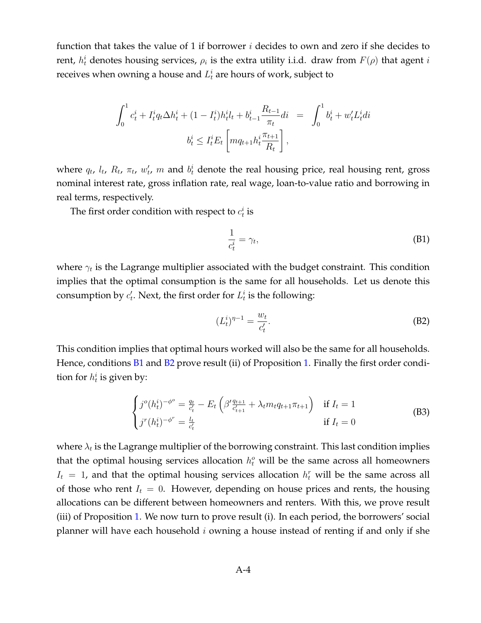function that takes the value of 1 if borrower  $i$  decides to own and zero if she decides to rent,  $h_t^i$  denotes housing services,  $\rho_i$  is the extra utility i.i.d. draw from  $F(\rho)$  that agent  $i$ receives when owning a house and  $L_t^i$  are hours of work, subject to

$$
\int_0^1 c_t^i + I_t^i q_t \Delta h_t^i + (1 - I_t^i) h_t^i l_t + b_{t-1}^i \frac{R_{t-1}}{\pi_t} dt = \int_0^1 b_t^i + w_t^i L_t^i dt
$$
  

$$
b_t^i \le I_t^i E_t \left[ m q_{t+1} h_t^i \frac{\pi_{t+1}}{R_t} \right],
$$

where  $q_t$ ,  $l_t$ ,  $R_t$ ,  $\pi_t$ ,  $w'_t$  $t'$ , m and  $b^i_t$  denote the real housing price, real housing rent, gross nominal interest rate, gross inflation rate, real wage, loan-to-value ratio and borrowing in real terms, respectively.

The first order condition with respect to  $c_t^i$  is

$$
\frac{1}{c_t^i} = \gamma_t,\tag{B1}
$$

where  $\gamma_t$  is the Lagrange multiplier associated with the budget constraint. This condition implies that the optimal consumption is the same for all households. Let us denote this consumption by  $c_t'$  $t'_{t}$ . Next, the first order for  $L_t^i$  is the following:

$$
(L_t^i)^{\eta - 1} = \frac{w_t}{c'_t}.
$$
 (B2)

This condition implies that optimal hours worked will also be the same for all households. Hence, conditions **B1** and **B2** prove result (ii) of Proposition 1. Finally the first order condition for  $h_t^i$  is given by:

$$
\begin{cases}\nj^{o}(h_{t}^{i})^{-\phi^{o}} = \frac{q_{t}}{c_{t}^{i}} - E_{t} \left( \beta' \frac{q_{t+1}}{c_{t+1}^{i}} + \lambda_{t} m_{t} q_{t+1} \pi_{t+1} \right) & \text{if } I_{t} = 1 \\
j^{r}(h_{t}^{i})^{-\phi^{r}} = \frac{l_{t}}{c_{t}^{i}} & \text{if } I_{t} = 0\n\end{cases}
$$
\n(B3)

where  $\lambda_t$  is the Lagrange multiplier of the borrowing constraint. This last condition implies that the optimal housing services allocation  $h_t^o$  will be the same across all homeowners  $I_t = 1$ , and that the optimal housing services allocation  $h_t^r$  will be the same across all of those who rent  $I_t = 0$ . However, depending on house prices and rents, the housing allocations can be different between homeowners and renters. With this, we prove result (iii) of Proposition 1. We now turn to prove result (i). In each period, the borrowers' social planner will have each household  $i$  owning a house instead of renting if and only if she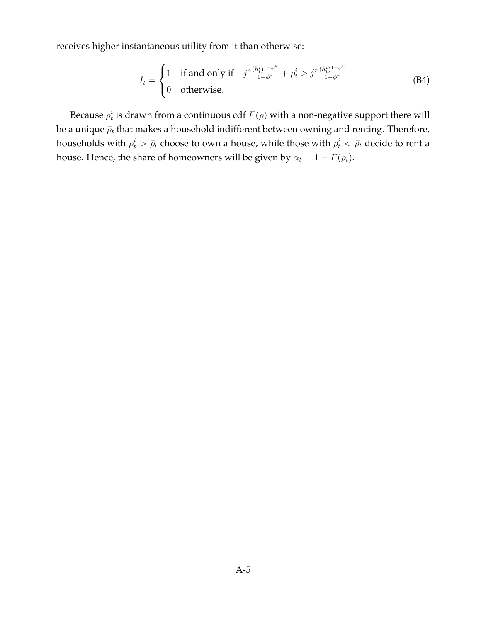receives higher instantaneous utility from it than otherwise:

$$
I_t = \begin{cases} 1 & \text{if and only if} \quad j^o \frac{(h_t^i)^{1-\phi^o}}{1-\phi^o} + \rho_t^i > j^r \frac{(h_t^i)^{1-\phi^r}}{1-\phi^r} \\ 0 & \text{otherwise.} \end{cases} \tag{B4}
$$

Because  $\rho^i_t$  is drawn from a continuous cdf  $F(\rho)$  with a non-negative support there will be a unique  $\bar{\rho}_t$  that makes a household indifferent between owning and renting. Therefore, households with  $\rho^i_t>\bar\rho_t$  choose to own a house, while those with  $\rho^i_t<\bar\rho_t$  decide to rent a house. Hence, the share of homeowners will be given by  $\alpha_t = 1 - F(\bar{\rho}_t)$ .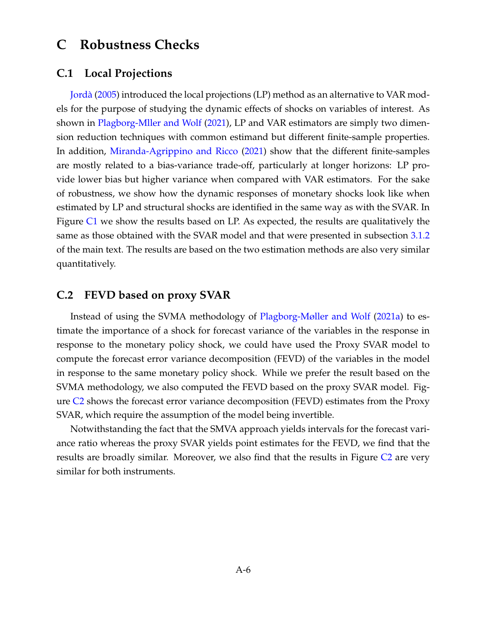# **C Robustness Checks**

## **C.1 Local Projections**

Jorda` (2005) introduced the local projections (LP) method as an alternative to VAR models for the purpose of studying the dynamic effects of shocks on variables of interest. As shown in Plagborg-Mller and Wolf (2021), LP and VAR estimators are simply two dimension reduction techniques with common estimand but different finite-sample properties. In addition, Miranda-Agrippino and Ricco (2021) show that the different finite-samples are mostly related to a bias-variance trade-off, particularly at longer horizons: LP provide lower bias but higher variance when compared with VAR estimators. For the sake of robustness, we show how the dynamic responses of monetary shocks look like when estimated by LP and structural shocks are identified in the same way as with the SVAR. In Figure C1 we show the results based on LP. As expected, the results are qualitatively the same as those obtained with the SVAR model and that were presented in subsection 3.1.2 of the main text. The results are based on the two estimation methods are also very similar quantitatively.

## **C.2 FEVD based on proxy SVAR**

Instead of using the SVMA methodology of Plagborg-Møller and Wolf (2021a) to estimate the importance of a shock for forecast variance of the variables in the response in response to the monetary policy shock, we could have used the Proxy SVAR model to compute the forecast error variance decomposition (FEVD) of the variables in the model in response to the same monetary policy shock. While we prefer the result based on the SVMA methodology, we also computed the FEVD based on the proxy SVAR model. Figure C2 shows the forecast error variance decomposition (FEVD) estimates from the Proxy SVAR, which require the assumption of the model being invertible.

Notwithstanding the fact that the SMVA approach yields intervals for the forecast variance ratio whereas the proxy SVAR yields point estimates for the FEVD, we find that the results are broadly similar. Moreover, we also find that the results in Figure C2 are very similar for both instruments.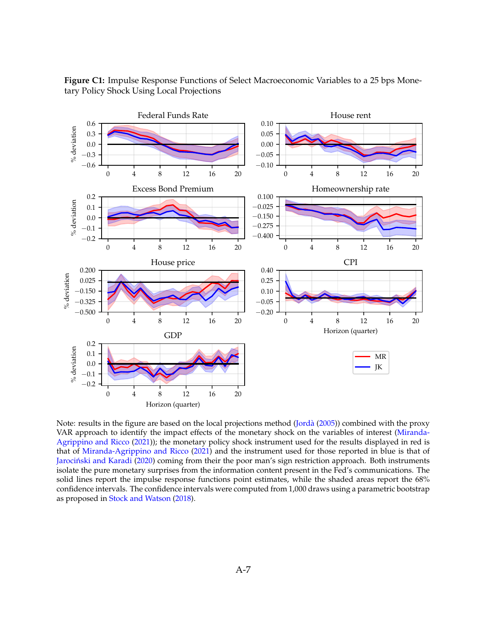

**Figure C1:** Impulse Response Functions of Select Macroeconomic Variables to a 25 bps Monetary Policy Shock Using Local Projections

Note: results in the figure are based on the local projections method (Jorda` (2005)) combined with the proxy VAR approach to identify the impact effects of the monetary shock on the variables of interest (Miranda-Agrippino and Ricco (2021)); the monetary policy shock instrument used for the results displayed in red is that of Miranda-Agrippino and Ricco (2021) and the instrument used for those reported in blue is that of Jarociński and Karadi (2020) coming from their the poor man's sign restriction approach. Both instruments isolate the pure monetary surprises from the information content present in the Fed's communications. The solid lines report the impulse response functions point estimates, while the shaded areas report the 68% confidence intervals. The confidence intervals were computed from 1,000 draws using a parametric bootstrap as proposed in Stock and Watson (2018).